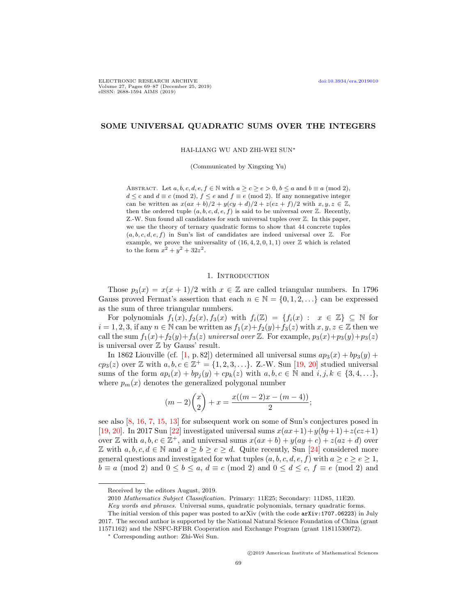# SOME UNIVERSAL QUADRATIC SUMS OVER THE INTEGERS

HAI-LIANG WU AND ZHI-WEI SUN<sup>∗</sup>

(Communicated by Xingxing Yu)

ABSTRACT. Let  $a, b, c, d, e, f \in \mathbb{N}$  with  $a \geq c \geq e > 0$ ,  $b \leq a$  and  $b \equiv a \pmod{2}$ ,  $d \leq c$  and  $d \equiv c \pmod{2}$ ,  $f \leq e$  and  $f \equiv e \pmod{2}$ . If any nonnegative integer can be written as  $x(ax + b)/2 + y(cy + d)/2 + z(ez + f)/2$  with  $x, y, z \in \mathbb{Z}$ , then the ordered tuple  $(a, b, c, d, e, f)$  is said to be universal over  $\mathbb{Z}$ . Recently, Z.-W. Sun found all candidates for such universal tuples over Z. In this paper, we use the theory of ternary quadratic forms to show that 44 concrete tuples  $(a, b, c, d, e, f)$  in Sun's list of candidates are indeed universal over  $\mathbb{Z}$ . For example, we prove the universality of  $(16, 4, 2, 0, 1, 1)$  over  $\mathbb Z$  which is related to the form  $x^2 + y^2 + 32z^2$ .

#### 1. INTRODUCTION

Those  $p_3(x) = x(x+1)/2$  with  $x \in \mathbb{Z}$  are called triangular numbers. In 1796 Gauss proved Fermat's assertion that each  $n \in \mathbb{N} = \{0, 1, 2, \ldots\}$  can be expressed as the sum of three triangular numbers.

For polynomials  $f_1(x)$ ,  $f_2(x)$ ,  $f_3(x)$  with  $f_i(\mathbb{Z}) = \{f_i(x) : x \in \mathbb{Z}\} \subseteq \mathbb{N}$  for  $i = 1, 2, 3$ , if any  $n \in \mathbb{N}$  can be written as  $f_1(x) + f_2(y) + f_3(z)$  with  $x, y, z \in \mathbb{Z}$  then we call the sum  $f_1(x)+f_2(y)+f_3(z)$  universal over Z. For example,  $p_3(x)+p_3(y)+p_3(z)$ is universal over  $Z$  by Gauss' result.

In 1862 Liouville (cf. [\[1,](#page-17-0) p. 82]) determined all universal sums  $ap_3(x) + bp_3(y) +$  $cp_3(z)$  over Z with  $a, b, c \in \mathbb{Z}^+ = \{1, 2, 3, \ldots\}$ . Z.-W. Sun [\[19,](#page-18-0) [20\]](#page-18-1) studied universal sums of the form  $ap_i(x) + bp_i(y) + cp_k(z)$  with  $a, b, c \in \mathbb{N}$  and  $i, j, k \in \{3, 4, \ldots\}$ , where  $p_m(x)$  denotes the generalized polygonal number

$$
(m-2)\binom{x}{2} + x = \frac{x((m-2)x - (m-4))}{2};
$$

see also [\[8,](#page-18-2) [16,](#page-18-3) [7,](#page-18-4) [15,](#page-18-5) [13\]](#page-18-6) for subsequent work on some of Sun's conjectures posed in [\[19,](#page-18-0) [20\]](#page-18-1). In 2017 Sun [\[22\]](#page-18-7) investigated universal sums  $x(ax+1)+y(by+1)+z(cz+1)$ over  $\mathbb{Z}$  with  $a, b, c \in \mathbb{Z}^+$ , and universal sums  $x(ax + b) + y(ay + c) + z(az + d)$  over  $\mathbb Z$  with  $a, b, c, d \in \mathbb N$  and  $a \ge b \ge c \ge d$ . Quite recently, Sun [\[24\]](#page-18-8) considered more general questions and investigated for what tuples  $(a, b, c, d, e, f)$  with  $a \geq c \geq e \geq 1$ ,  $b \equiv a \pmod{2}$  and  $0 \le b \le a$ ,  $d \equiv c \pmod{2}$  and  $0 \le d \le c$ ,  $f \equiv e \pmod{2}$  and

2010 Mathematics Subject Classification. Primary: 11E25; Secondary: 11D85, 11E20.

Key words and phrases. Universal sums, quadratic polynomials, ternary quadratic forms.

Received by the editors August, 2019.

The initial version of this paper was posted to arXiv (with the code arXiv:1707.06223) in July 2017. The second author is supported by the National Natural Science Foundation of China (grant 11571162) and the NSFC-RFBR Cooperation and Exchange Program (grant 11811530072).

<sup>∗</sup> Corresponding author: Zhi-Wei Sun.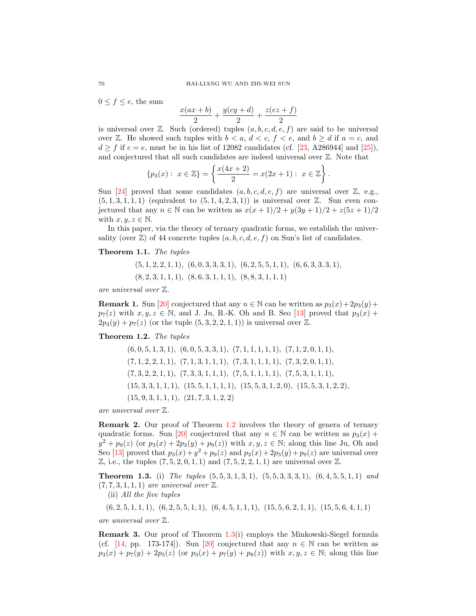$0 \leq f \leq e$ , the sum

$$
\frac{x(ax + b)}{2} + \frac{y(cy + d)}{2} + \frac{z(ez + f)}{2}
$$

is universal over  $\mathbb{Z}$ . Such (ordered) tuples  $(a, b, c, d, e, f)$  are said to be universal over Z. He showed such tuples with  $b < a, d < c, f < e$ , and  $b \ge d$  if  $a = c$ , and  $d > f$  if  $c = e$ , must be in his list of 12082 candidates (cf. [\[23,](#page-18-9) A286944] and [\[25\]](#page-18-10)), and conjectured that all such candidates are indeed universal over Z. Note that

$$
\{p_3(x): x \in \mathbb{Z}\} = \left\{\frac{x(4x+2)}{2} = x(2x+1): x \in \mathbb{Z}\right\}.
$$

Sun [\[24\]](#page-18-8) proved that some candidates  $(a, b, c, d, e, f)$  are universal over  $\mathbb{Z}$ , e.g.,  $(5, 1, 3, 1, 1, 1)$  (equivalent to  $(5, 1, 4, 2, 3, 1)$ ) is universal over Z. Sun even conjectured that any  $n \in \mathbb{N}$  can be written as  $x(x + 1)/2 + y(3y + 1)/2 + z(5z + 1)/2$ with  $x, y, z \in \mathbb{N}$ .

In this paper, via the theory of ternary quadratic forms, we establish the universality (over  $\mathbb{Z}$ ) of 44 concrete tuples  $(a, b, c, d, e, f)$  on Sun's list of candidates.

#### <span id="page-1-2"></span>Theorem 1.1. The tuples

 $(5, 1, 2, 2, 1, 1), (6, 0, 3, 3, 3, 1), (6, 2, 5, 5, 1, 1), (6, 6, 3, 3, 3, 1),$  $(8, 2, 3, 1, 1, 1), (8, 6, 3, 1, 1, 1), (8, 8, 3, 1, 1, 1)$ 

are universal over Z.

**Remark 1.** Sun [\[20\]](#page-18-1) conjectured that any  $n \in \mathbb{N}$  can be written as  $p_3(x) + 2p_3(y) +$  $p_7(z)$  with  $x, y, z \in \mathbb{N}$ , and J. Ju, B.-K. Oh and B. Seo [\[13\]](#page-18-6) proved that  $p_3(x)$  +  $2p_3(y) + p_7(z)$  (or the tuple  $(5, 3, 2, 2, 1, 1)$ ) is universal over Z.

### <span id="page-1-0"></span>Theorem 1.2. The tuples

 $(6, 0, 5, 1, 3, 1), (6, 0, 5, 3, 3, 1), (7, 1, 1, 1, 1, 1), (7, 1, 2, 0, 1, 1),$  $(7, 1, 2, 2, 1, 1), (7, 1, 3, 1, 1, 1), (7, 3, 1, 1, 1, 1), (7, 3, 2, 0, 1, 1),$  $(7, 3, 2, 2, 1, 1), (7, 3, 3, 1, 1, 1), (7, 5, 1, 1, 1, 1), (7, 5, 3, 1, 1, 1),$  $(15, 3, 3, 1, 1, 1), (15, 5, 1, 1, 1, 1), (15, 5, 3, 1, 2, 0), (15, 5, 3, 1, 2, 2),$  $(15, 9, 3, 1, 1, 1), (21, 7, 3, 1, 2, 2)$ 

are universal over Z.

Remark 2. Our proof of Theorem [1.2](#page-1-0) involves the theory of genera of ternary quadratic forms. Sun [\[20\]](#page-18-1) conjectured that any  $n \in \mathbb{N}$  can be written as  $p_3(x)$  +  $y^2 + p_9(z)$  (or  $p_3(x) + 2p_3(y) + p_9(z)$ ) with  $x, y, z \in \mathbb{N}$ ; along this line Ju, Oh and Seo [\[13\]](#page-18-6) proved that  $p_3(x) + y^2 + p_9(z)$  and  $p_3(x) + 2p_3(y) + p_9(z)$  are universal over  $\mathbb{Z}$ , i.e., the tuples  $(7, 5, 2, 0, 1, 1)$  and  $(7, 5, 2, 2, 1, 1)$  are universal over  $\mathbb{Z}$ .

<span id="page-1-1"></span>**Theorem 1.3.** (i) The tuples  $(5, 5, 3, 1, 3, 1)$ ,  $(5, 5, 3, 3, 3, 1)$ ,  $(6, 4, 5, 5, 1, 1)$  and  $(7, 7, 3, 1, 1, 1)$  are universal over  $\mathbb{Z}$ .

(ii) All the five tuples

 $(6, 2, 5, 1, 1, 1), (6, 2, 5, 5, 1, 1), (6, 4, 5, 1, 1, 1), (15, 5, 6, 2, 1, 1), (15, 5, 6, 4, 1, 1)$ 

are universal over Z.

Remark 3. Our proof of Theorem [1.3\(](#page-1-1)i) employs the Minkowski-Siegel formula (cf. [\[14,](#page-18-11) pp. 173-174]). Sun [\[20\]](#page-18-1) conjectured that any  $n \in \mathbb{N}$  can be written as  $p_3(x) + p_7(y) + 2p_5(z)$  (or  $p_3(x) + p_7(y) + p_8(z)$ ) with  $x, y, z \in \mathbb{N}$ ; along this line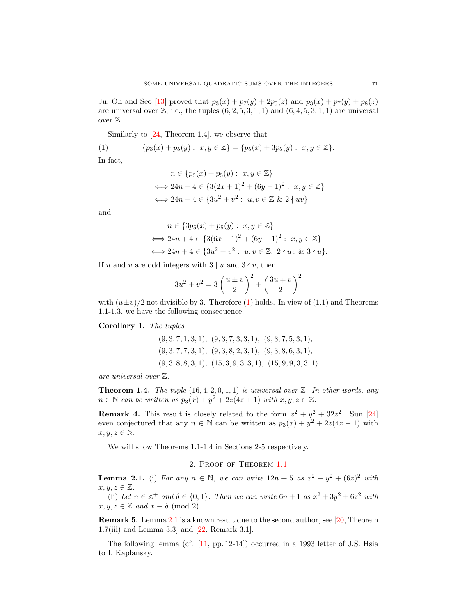Ju, Oh and Seo [\[13\]](#page-18-6) proved that  $p_3(x) + p_7(y) + 2p_5(z)$  and  $p_3(x) + p_7(y) + p_8(z)$ are universal over  $\mathbb{Z}$ , i.e., the tuples  $(6, 2, 5, 3, 1, 1)$  and  $(6, 4, 5, 3, 1, 1)$  are universal over  $\mathbb{Z}$ .

Similarly to [\[24,](#page-18-8) Theorem 1.4], we observe that

(1) 
$$
\{p_3(x)+p_5(y): x,y \in \mathbb{Z}\} = \{p_5(x)+3p_5(y): x,y \in \mathbb{Z}\}.
$$

In fact,

<span id="page-2-0"></span>
$$
n \in \{p_3(x) + p_5(y) : x, y \in \mathbb{Z}\}\
$$
  

$$
\iff 24n + 4 \in \{3(2x + 1)^2 + (6y - 1)^2 : x, y \in \mathbb{Z}\}\
$$
  

$$
\iff 24n + 4 \in \{3u^2 + v^2 : u, v \in \mathbb{Z} \& 2 \nmid uv\}
$$

and

$$
n \in \{3p_5(x) + p_5(y) : x, y \in \mathbb{Z}\}
$$
  

$$
\iff 24n + 4 \in \{3(6x - 1)^2 + (6y - 1)^2 : x, y \in \mathbb{Z}\}
$$
  

$$
\iff 24n + 4 \in \{3u^2 + v^2 : u, v \in \mathbb{Z}, 2 \nmid uv \& 3 \nmid u\}.
$$

If u and v are odd integers with  $3 | u$  and  $3 | v$ , then

$$
3u^{2} + v^{2} = 3\left(\frac{u \pm v}{2}\right)^{2} + \left(\frac{3u \mp v}{2}\right)^{2}
$$

with  $(u \pm v)/2$  not divisible by 3. Therefore [\(1\)](#page-2-0) holds. In view of (1.1) and Theorems 1.1-1.3, we have the following consequence.

Corollary 1. The tuples

 $(9, 3, 7, 1, 3, 1), (9, 3, 7, 3, 3, 1), (9, 3, 7, 5, 3, 1),$  $(9, 3, 7, 7, 3, 1), (9, 3, 8, 2, 3, 1), (9, 3, 8, 6, 3, 1),$  $(9, 3, 8, 8, 3, 1), (15, 3, 9, 3, 3, 1), (15, 9, 9, 3, 3, 1)$ 

are universal over Z.

<span id="page-2-2"></span>**Theorem 1.4.** The tuple  $(16, 4, 2, 0, 1, 1)$  is universal over  $\mathbb{Z}$ . In other words, any  $n \in \mathbb{N}$  can be written as  $p_3(x) + y^2 + 2z(4z + 1)$  with  $x, y, z \in \mathbb{Z}$ .

**Remark 4.** This result is closely related to the form  $x^2 + y^2 + 32z^2$ . Sun [\[24\]](#page-18-8) even conjectured that any  $n \in \mathbb{N}$  can be written as  $p_3(x) + y^2 + 2z(4z - 1)$  with  $x, y, z \in \mathbb{N}$ .

We will show Theorems 1.1-1.4 in Sections 2-5 respectively.

## 2. Proof of Theorem [1.1](#page-1-2)

<span id="page-2-1"></span>**Lemma 2.1.** (i) For any  $n \in \mathbb{N}$ , we can write  $12n + 5$  as  $x^2 + y^2 + (6z)^2$  with  $x, y, z \in \mathbb{Z}$ .

(ii) Let  $n \in \mathbb{Z}^+$  and  $\delta \in \{0,1\}$ . Then we can write  $6n+1$  as  $x^2+3y^2+6z^2$  with  $x, y, z \in \mathbb{Z}$  and  $x \equiv \delta \pmod{2}$ .

Remark 5. Lemma [2.1](#page-2-1) is a known result due to the second author, see [\[20,](#page-18-1) Theorem 1.7(iii) and Lemma 3.3] and [\[22,](#page-18-7) Remark 3.1].

The following lemma (cf. [\[11,](#page-18-12) pp. 12-14]) occurred in a 1993 letter of J.S. Hsia to I. Kaplansky.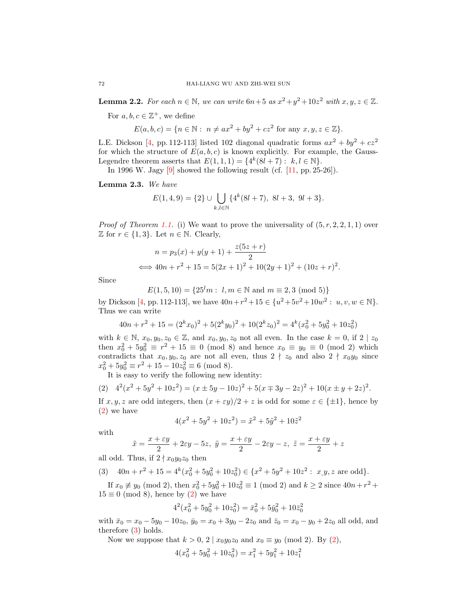<span id="page-3-2"></span>**Lemma 2.2.** For each  $n \in \mathbb{N}$ , we can write  $6n+5$  as  $x^2+y^2+10z^2$  with  $x, y, z \in \mathbb{Z}$ .

For  $a, b, c \in \mathbb{Z}^+$ , we define

$$
E(a, b, c) = \{ n \in \mathbb{N} : n \neq ax^2 + by^2 + cz^2 \text{ for any } x, y, z \in \mathbb{Z} \}.
$$

L.E. Dickson [\[4,](#page-18-13) pp. 112-113] listed 102 diagonal quadratic forms  $ax^2 + by^2 + cz^2$ for which the structure of  $E(a, b, c)$  is known explicitly. For example, the Gauss-Legendre theorem asserts that  $E(1, 1, 1) = \{4^k(8l + 7) : k, l \in \mathbb{N}\}.$ 

In 1996 W. Jagy  $[9]$  showed the following result (cf.  $[11, pp. 25-26]$  $[11, pp. 25-26]$ ).

<span id="page-3-3"></span>Lemma 2.3. We have

$$
E(1,4,9) = \{2\} \cup \bigcup_{k,l \in \mathbb{N}} \{4^k(8l+7), 8l+3, 9l+3\}.
$$

*Proof of Theorem [1.1.](#page-1-2)* (i) We want to prove the universality of  $(5, r, 2, 2, 1, 1)$  over  $\mathbb Z$  for  $r \in \{1,3\}$ . Let  $n \in \mathbb N$ . Clearly,

$$
n = p_3(x) + y(y+1) + \frac{z(5z+r)}{2}
$$
  

$$
\iff 40n + r^2 + 15 = 5(2x+1)^2 + 10(2y+1)^2 + (10z+r)^2.
$$

Since

$$
E(1,5,10) = \{25^l m : l, m \in \mathbb{N} \text{ and } m \equiv 2,3 \pmod{5}\}\
$$

by Dickson [\[4,](#page-18-13) pp. 112-113], we have  $40n + r^2 + 15 \in \{u^2 + 5v^2 + 10w^2 : u, v, w \in \mathbb{N}\}.$ Thus we can write

$$
40n + r2 + 15 = (2kx0)2 + 5(2ky0)2 + 10(2kz0)2 = 4k(x02 + 5y02 + 10z02)
$$

with  $k \in \mathbb{N}$ ,  $x_0, y_0, z_0 \in \mathbb{Z}$ , and  $x_0, y_0, z_0$  not all even. In the case  $k = 0$ , if  $2 \mid z_0$ then  $x_0^2 + 5y_0^2 \equiv r^2 + 15 \equiv 0 \pmod{8}$  and hence  $x_0 \equiv y_0 \equiv 0 \pmod{2}$  which contradicts that  $x_0, y_0, z_0$  are not all even, thus  $2 \nmid z_0$  and also  $2 \nmid x_0y_0$  since  $x_0^2 + 5y_0^2 \equiv r^2 + 15 - 10z_0^2 \equiv 6 \pmod{8}.$ 

<span id="page-3-0"></span>It is easy to verify the following new identity:

$$
(2) \quad 4^2(x^2 + 5y^2 + 10z^2) = (x \pm 5y - 10z)^2 + 5(x \mp 3y - 2z)^2 + 10(x \pm y + 2z)^2.
$$

If  $x, y, z$  are odd integers, then  $(x + \varepsilon y)/2 + z$  is odd for some  $\varepsilon \in {\pm 1}$ , hence by [\(2\)](#page-3-0) we have

$$
4(x^{2} + 5y^{2} + 10z^{2}) = \tilde{x}^{2} + 5\tilde{y}^{2} + 10\tilde{z}^{2}
$$

with

$$
\tilde{x}=\frac{x+\varepsilon y}{2}+2\varepsilon y-5z, \ \tilde{y}=\frac{x+\varepsilon y}{2}-2\varepsilon y-z, \ \tilde{z}=\frac{x+\varepsilon y}{2}+z
$$

all odd. Thus, if  $2 \nmid x_0y_0z_0$  then

<span id="page-3-1"></span>(3) 
$$
40n + r^2 + 15 = 4^k(x_0^2 + 5y_0^2 + 10z_0^2) \in \{x^2 + 5y^2 + 10z^2 : x, y, z \text{ are odd}\}.
$$

If  $x_0 \neq y_0 \pmod{2}$ , then  $x_0^2 + 5y_0^2 + 10z_0^2 \equiv 1 \pmod{2}$  and  $k \geq 2$  since  $40n + r^2 +$  $15 \equiv 0 \pmod{8}$ , hence by [\(2\)](#page-3-0) we have

$$
42(x02 + 5y02 + 10z02) = \bar{x}02 + 5\bar{y}02 + 10\bar{z}02
$$

with  $\bar{x}_0 = x_0 - 5y_0 - 10z_0$ ,  $\bar{y}_0 = x_0 + 3y_0 - 2z_0$  and  $\bar{z}_0 = x_0 - y_0 + 2z_0$  all odd, and therefore [\(3\)](#page-3-1) holds.

Now we suppose that  $k > 0$ ,  $2 | x_0 y_0 z_0$  and  $x_0 \equiv y_0 \pmod{2}$ . By [\(2\)](#page-3-0),

$$
4(x_0^2 + 5y_0^2 + 10z_0^2) = x_1^2 + 5y_1^2 + 10z_1^2
$$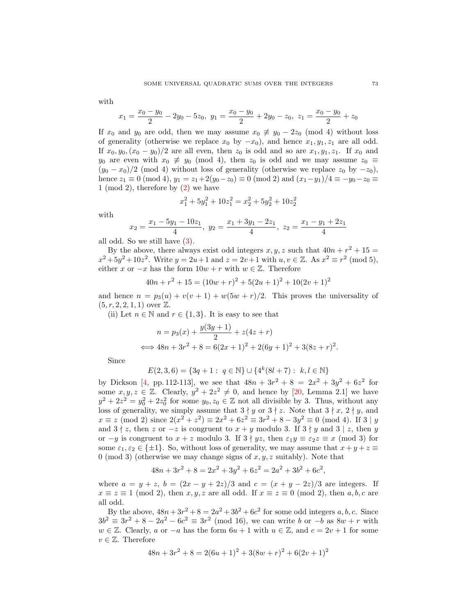$$
x_1 = \frac{x_0 - y_0}{2} - 2y_0 - 5z_0, \ y_1 = \frac{x_0 - y_0}{2} + 2y_0 - z_0, \ z_1 = \frac{x_0 - y_0}{2} + z_0
$$

If  $x_0$  and  $y_0$  are odd, then we may assume  $x_0 \not\equiv y_0 - 2z_0 \pmod{4}$  without loss of generality (otherwise we replace  $x_0$  by  $-x_0$ ), and hence  $x_1, y_1, z_1$  are all odd. If  $x_0, y_0, (x_0 - y_0)/2$  are all even, then  $z_0$  is odd and so are  $x_1, y_1, z_1$ . If  $x_0$  and y<sub>0</sub> are even with  $x_0 \neq y_0 \pmod{4}$ , then  $z_0$  is odd and we may assume  $z_0 \equiv$  $(y_0 - x_0)/2$  (mod 4) without loss of generality (otherwise we replace  $z_0$  by  $-z_0$ ), hence  $z_1 \equiv 0 \pmod{4}$ ,  $y_1 = z_1 + 2(y_0 - z_0) \equiv 0 \pmod{2}$  and  $(x_1 - y_1)/4 \equiv -y_0 - z_0 \equiv 0$ 1 (mod 2), therefore by  $(2)$  we have

$$
x_1^2 + 5y_1^2 + 10z_1^2 = x_2^2 + 5y_2^2 + 10z_2^2
$$

with

$$
x_2 = \frac{x_1 - 5y_1 - 10z_1}{4}, \ y_2 = \frac{x_1 + 3y_1 - 2z_1}{4}, \ z_2 = \frac{x_1 - y_1 + 2z_1}{4}
$$

all odd. So we still have [\(3\)](#page-3-1).

By the above, there always exist odd integers  $x, y, z$  such that  $40n + r^2 + 15 =$  $x^2 + 5y^2 + 10z^2$ . Write  $y = 2u + 1$  and  $z = 2v + 1$  with  $u, v \in \mathbb{Z}$ . As  $x^2 \equiv r^2 \pmod{5}$ , either x or  $-x$  has the form  $10w + r$  with  $w \in \mathbb{Z}$ . Therefore

$$
40n + r2 + 15 = (10w + r)2 + 5(2u + 1)2 + 10(2v + 1)2
$$

and hence  $n = p_3(u) + v(v + 1) + w(5w + r)/2$ . This proves the universality of  $(5, r, 2, 2, 1, 1)$  over  $\mathbb{Z}$ .

(ii) Let  $n \in \mathbb{N}$  and  $r \in \{1,3\}$ . It is easy to see that

$$
n = p_3(x) + \frac{y(3y+1)}{2} + z(4z+r)
$$
  

$$
\iff 48n + 3r^2 + 8 = 6(2x+1)^2 + 2(6y+1)^2 + 3(8z+r)^2.
$$

Since

$$
E(2,3,6) = \{3q + 1: q \in \mathbb{N}\} \cup \{4^k(8l + 7): k, l \in \mathbb{N}\}\
$$

by Dickson [\[4,](#page-18-13) pp. 112-113], we see that  $48n + 3r^2 + 8 = 2x^2 + 3y^2 + 6z^2$  for some  $x, y, z \in \mathbb{Z}$ . Clearly,  $y^2 + 2z^2 \neq 0$ , and hence by [\[20,](#page-18-1) Lemma 2.1] we have  $y^2 + 2z^2 = y_0^2 + 2z_0^2$  for some  $y_0, z_0 \in \mathbb{Z}$  not all divisible by 3. Thus, without any loss of generality, we simply assume that  $3 \nmid y$  or  $3 \nmid z$ . Note that  $3 \nmid x, 2 \nmid y$ , and  $x \equiv z \pmod{2}$  since  $2(x^2 + z^2) \equiv 2x^2 + 6z^2 \equiv 3r^2 + 8 - 3y^2 \equiv 0 \pmod{4}$ . If  $3 \mid y$ and  $3 \nmid z$ , then z or  $-z$  is congruent to  $x + y$  modulo 3. If  $3 \nmid y$  and  $3 \nmid z$ , then y or  $-y$  is congruent to  $x + z$  modulo 3. If  $3 \nmid yz$ , then  $\varepsilon_1 y \equiv \varepsilon_2 z \equiv x \pmod{3}$  for some  $\varepsilon_1, \varepsilon_2 \in \{\pm 1\}$ . So, without loss of generality, we may assume that  $x + y + z \equiv$ 0 (mod 3) (otherwise we may change signs of  $x, y, z$  suitably). Note that

$$
48n + 3r^2 + 8 = 2x^2 + 3y^2 + 6z^2 = 2a^2 + 3b^2 + 6c^2,
$$

where  $a = y + z$ ,  $b = (2x - y + 2z)/3$  and  $c = (x + y - 2z)/3$  are integers. If  $x \equiv z \equiv 1 \pmod{2}$ , then  $x, y, z$  are all odd. If  $x \equiv z \equiv 0 \pmod{2}$ , then  $a, b, c$  are all odd.

By the above,  $48n + 3r^2 + 8 = 2a^2 + 3b^2 + 6c^2$  for some odd integers a, b, c. Since  $3b^2 \equiv 3r^2 + 8 - 2a^2 - 6c^2 \equiv 3r^2 \pmod{16}$ , we can write b or  $-b$  as  $8w + r$  with  $w \in \mathbb{Z}$ . Clearly, a or  $-a$  has the form  $6u + 1$  with  $u \in \mathbb{Z}$ , and  $c = 2v + 1$  for some  $v \in \mathbb{Z}$ . Therefore

$$
48n + 3r2 + 8 = 2(6u + 1)2 + 3(8w + r)2 + 6(2v + 1)2
$$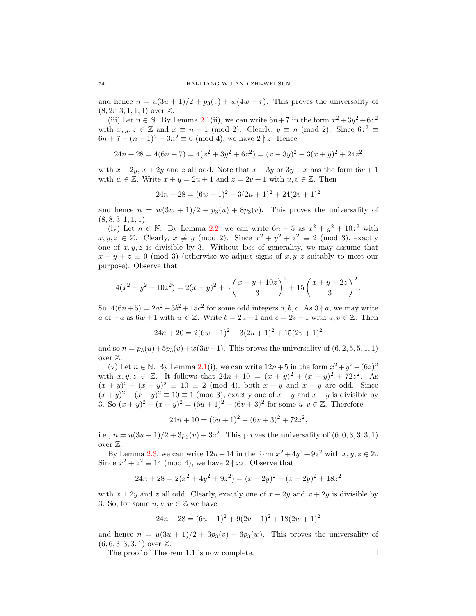and hence  $n = u(3u + 1)/2 + p_3(v) + w(4w + r)$ . This proves the universality of  $(8, 2r, 3, 1, 1, 1)$  over  $\mathbb{Z}$ .

(iii) Let  $n \in \mathbb{N}$ . By Lemma [2.1\(](#page-2-1)ii), we can write  $6n+7$  in the form  $x^2+3y^2+6z^2$ with  $x, y, z \in \mathbb{Z}$  and  $x \equiv n + 1 \pmod{2}$ . Clearly,  $y \equiv n \pmod{2}$ . Since  $6z^2 \equiv$  $6n + 7 - (n+1)^2 - 3n^2 \equiv 6 \pmod{4}$ , we have  $2 \nmid z$ . Hence

$$
24n + 28 = 4(6n + 7) = 4(x2 + 3y2 + 6z2) = (x - 3y)2 + 3(x + y)2 + 24z2
$$

with  $x - 2y$ ,  $x + 2y$  and z all odd. Note that  $x - 3y$  or  $3y - x$  has the form  $6w + 1$ with  $w \in \mathbb{Z}$ . Write  $x + y = 2u + 1$  and  $z = 2v + 1$  with  $u, v \in \mathbb{Z}$ . Then

$$
24n + 28 = (6w + 1)^2 + 3(2u + 1)^2 + 24(2v + 1)^2
$$

and hence  $n = w(3w + 1)/2 + p_3(u) + 8p_3(v)$ . This proves the universality of  $(8, 8, 3, 1, 1, 1).$ 

(iv) Let  $n \in \mathbb{N}$ . By Lemma [2.2,](#page-3-2) we can write  $6n + 5$  as  $x^2 + y^2 + 10z^2$  with  $x, y, z \in \mathbb{Z}$ . Clearly,  $x \not\equiv y \pmod{2}$ . Since  $x^2 + y^2 + z^2 \equiv 2 \pmod{3}$ , exactly one of  $x, y, z$  is divisible by 3. Without loss of generality, we may assume that  $x + y + z \equiv 0 \pmod{3}$  (otherwise we adjust signs of x, y, z suitably to meet our purpose). Observe that

$$
4(x^{2} + y^{2} + 10z^{2}) = 2(x - y)^{2} + 3\left(\frac{x + y + 10z}{3}\right)^{2} + 15\left(\frac{x + y - 2z}{3}\right)^{2}.
$$

So,  $4(6n+5) = 2a^2 + 3b^2 + 15c^2$  for some odd integers a, b, c. As  $3 \nmid a$ , we may write a or  $-a$  as  $6w + 1$  with  $w \in \mathbb{Z}$ . Write  $b = 2u + 1$  and  $c = 2v + 1$  with  $u, v \in \mathbb{Z}$ . Then

$$
24n + 20 = 2(6w + 1)^{2} + 3(2u + 1)^{2} + 15(2v + 1)^{2}
$$

and so  $n = p_3(u) + 5p_3(v) + w(3w+1)$ . This proves the universality of  $(6, 2, 5, 5, 1, 1)$ over Z.

(v) Let  $n \in \mathbb{N}$ . By Lemma [2.1\(](#page-2-1)i), we can write  $12n+5$  in the form  $x^2+y^2+(6z)^2$ with  $x, y, z \in \mathbb{Z}$ . It follows that  $24n + 10 = (x + y)^2 + (x - y)^2 + 72z^2$ . As  $(x + y)^2 + (x - y)^2 \equiv 10 \equiv 2 \pmod{4}$ , both  $x + y$  and  $x - y$  are odd. Since  $(x+y)^2 + (x-y)^2 \equiv 10 \equiv 1 \pmod{3}$ , exactly one of  $x+y$  and  $x-y$  is divisible by 3. So  $(x+y)^2 + (x-y)^2 = (6u+1)^2 + (6v+3)^2$  for some  $u, v \in \mathbb{Z}$ . Therefore

$$
24n + 10 = (6u + 1)^{2} + (6v + 3)^{2} + 72z^{2},
$$

i.e.,  $n = u(3u+1)/2 + 3p_3(v) + 3z^2$ . This proves the universality of  $(6, 0, 3, 3, 3, 1)$ over Z.

By Lemma [2.3,](#page-3-3) we can write  $12n+14$  in the form  $x^2+4y^2+9z^2$  with  $x, y, z \in \mathbb{Z}$ . Since  $x^2 + z^2 \equiv 14 \pmod{4}$ , we have  $2 \nmid xz$ . Observe that

$$
24n + 28 = 2(x2 + 4y2 + 9z2) = (x - 2y)2 + (x + 2y)2 + 18z2
$$

with  $x \pm 2y$  and z all odd. Clearly, exactly one of  $x - 2y$  and  $x + 2y$  is divisible by 3. So, for some  $u, v, w \in \mathbb{Z}$  we have

$$
24n + 28 = (6u + 1)^2 + 9(2v + 1)^2 + 18(2w + 1)^2
$$

and hence  $n = u(3u + 1)/2 + 3p_3(v) + 6p_3(w)$ . This proves the universality of  $(6, 6, 3, 3, 3, 1)$  over  $\mathbb{Z}$ .

The proof of Theorem 1.1 is now complete.  $\Box$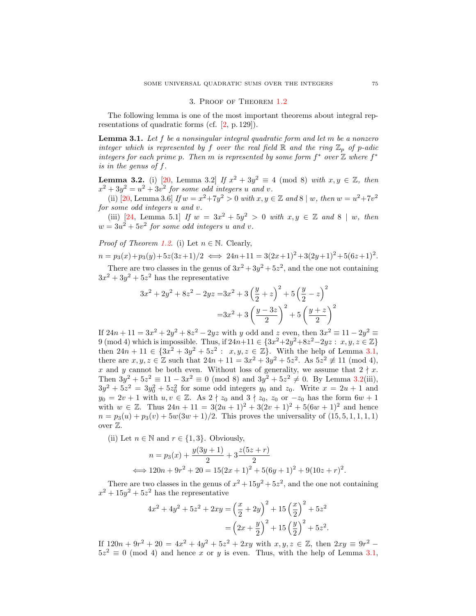## 3. Proof of Theorem [1.2](#page-1-0)

The following lemma is one of the most important theorems about integral representations of quadratic forms (cf. [\[2,](#page-17-1) p. 129]).

<span id="page-6-0"></span>**Lemma 3.1.** Let f be a nonsingular integral quadratic form and let m be a nonzero integer which is represented by f over the real field  $\mathbb R$  and the ring  $\mathbb Z_p$  of p-adic integers for each prime p. Then m is represented by some form  $f^*$  over  $\mathbb Z$  where  $f^*$ is in the genus of f.

<span id="page-6-1"></span>**Lemma 3.2.** (i) [\[20,](#page-18-1) Lemma 3.2] If  $x^2 + 3y^2 \equiv 4 \pmod{8}$  with  $x, y \in \mathbb{Z}$ , then  $x^2 + 3y^2 = u^2 + 3v^2$  for some odd integers u and v.

(ii) [\[20,](#page-18-1) Lemma 3.6] If  $w = x^2 + 7y^2 > 0$  with  $x, y \in \mathbb{Z}$  and  $8 | w$ , then  $w = u^2 + 7v^2$ for some odd integers u and v.

(iii) [\[24,](#page-18-8) Lemma 5.1] If  $w = 3x^2 + 5y^2 > 0$  with  $x, y \in \mathbb{Z}$  and  $8 | w$ , then  $w = 3u^2 + 5v^2$  for some odd integers u and v.

*Proof of Theorem [1.2](#page-1-0).* (i) Let  $n \in \mathbb{N}$ . Clearly,

$$
n = p_3(x) + p_3(y) + 5z(3z+1)/2 \iff 24n + 11 = 3(2x+1)^2 + 3(2y+1)^2 + 5(6z+1)^2.
$$

There are two classes in the genus of  $3x^2 + 3y^2 + 5z^2$ , and the one not containing  $3x^2 + 3y^2 + 5z^2$  has the representative

$$
3x^{2} + 2y^{2} + 8z^{2} - 2yz = 3x^{2} + 3\left(\frac{y}{2} + z\right)^{2} + 5\left(\frac{y}{2} - z\right)^{2}
$$

$$
= 3x^{2} + 3\left(\frac{y - 3z}{2}\right)^{2} + 5\left(\frac{y + z}{2}\right)^{2}
$$

If  $24n + 11 = 3x^2 + 2y^2 + 8z^2 - 2yz$  with y odd and z even, then  $3x^2 \equiv 11 - 2y^2 \equiv$ 9 (mod 4) which is impossible. Thus, if  $24n+11 \in \{3x^2+2y^2+8z^2-2yz : x, y, z \in \mathbb{Z}\}\$ then  $24n + 11 \in \{3x^2 + 3y^2 + 5z^2 : x, y, z \in \mathbb{Z}\}$ . With the help of Lemma [3.1,](#page-6-0) there are  $x, y, z \in \mathbb{Z}$  such that  $24n + 11 = 3x^2 + 3y^2 + 5z^2$ . As  $5z^2 \not\equiv 11 \pmod{4}$ , x and y cannot be both even. Without loss of generality, we assume that  $2 \nmid x$ . Then  $3y^2 + 5z^2 \equiv 11 - 3x^2 \equiv 0 \pmod{8}$  and  $3y^2 + 5z^2 \neq 0$ . By Lemma [3.2\(](#page-6-1)iii),  $3y^2 + 5z^2 = 3y_0^2 + 5z_0^2$  for some odd integers  $y_0$  and  $z_0$ . Write  $x = 2u + 1$  and  $y_0 = 2v + 1$  with  $u, v \in \mathbb{Z}$ . As  $2 \nmid z_0$  and  $3 \nmid z_0$ ,  $z_0$  or  $-z_0$  has the form  $6w + 1$ with  $w \in \mathbb{Z}$ . Thus  $24n + 11 = 3(2u + 1)^2 + 3(2v + 1)^2 + 5(6w + 1)^2$  and hence  $n = p_3(u) + p_3(v) + 5w(3w + 1)/2$ . This proves the universality of  $(15, 5, 1, 1, 1, 1)$ over Z.

(ii) Let  $n \in \mathbb{N}$  and  $r \in \{1,3\}$ . Obviously,

$$
n = p_3(x) + \frac{y(3y+1)}{2} + 3\frac{z(5z+r)}{2}
$$
  

$$
\iff 120n + 9r^2 + 20 = 15(2x+1)^2 + 5(6y+1)^2 + 9(10z+r)^2
$$

There are two classes in the genus of  $x^2 + 15y^2 + 5z^2$ , and the one not containing  $x^2 + 15y^2 + 5z^2$  has the representative

$$
4x^{2} + 4y^{2} + 5z^{2} + 2xy = \left(\frac{x}{2} + 2y\right)^{2} + 15\left(\frac{x}{2}\right)^{2} + 5z^{2}
$$

$$
= \left(2x + \frac{y}{2}\right)^{2} + 15\left(\frac{y}{2}\right)^{2} + 5z^{2}.
$$

If  $120n + 9r^2 + 20 = 4x^2 + 4y^2 + 5z^2 + 2xy$  with  $x, y, z \in \mathbb{Z}$ , then  $2xy \equiv 9r^2$  - $5z^2 \equiv 0 \pmod{4}$  and hence x or y is even. Thus, with the help of Lemma [3.1,](#page-6-0)

.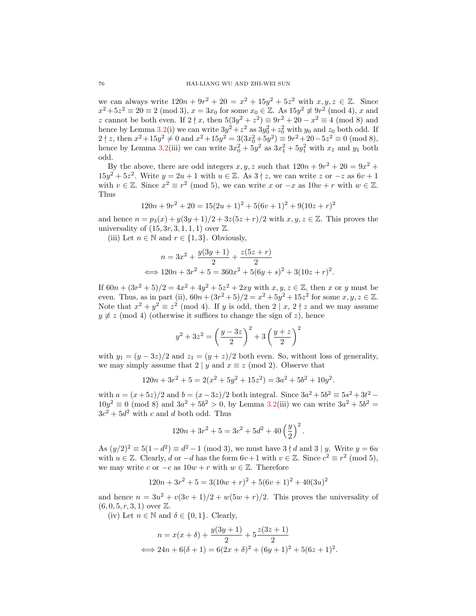we can always write  $120n + 9r^2 + 20 = x^2 + 15y^2 + 5z^2$  with  $x, y, z \in \mathbb{Z}$ . Since  $x^2 + 5z^2 \equiv 20 \equiv 2 \pmod{3}$ ,  $x = 3x_0$  for some  $x_0 \in \mathbb{Z}$ . As  $15y^2 \not\equiv 9r^2 \pmod{4}$ , x and z cannot be both even. If  $2 \nmid x$ , then  $5(3y^2 + z^2) \equiv 9r^2 + 20 - x^2 \equiv 4 \pmod{8}$  and hence by Lemma [3.2\(](#page-6-1)i) we can write  $3y^2 + z^2$  as  $3y_0^2 + z_0^2$  with  $y_0$  and  $z_0$  both odd. If  $2 \nmid z$ , then  $x^2 + 15y^2 \neq 0$  and  $x^2 + 15y^2 = 3(3x_0^2 + 5y^2) \equiv 9r^2 + 20 - 5z^2 \equiv 0 \pmod{8}$ , hence by Lemma [3.2\(](#page-6-1)iii) we can write  $3x_0^2 + 5y^2$  as  $3x_1^2 + 5y_1^2$  with  $x_1$  and  $y_1$  both odd.

By the above, there are odd integers  $x, y, z$  such that  $120n + 9r^2 + 20 = 9x^2 +$  $15y^2 + 5z^2$ . Write  $y = 2u + 1$  with  $u \in \mathbb{Z}$ . As  $3 \nmid z$ , we can write z or  $-z$  as  $6v + 1$ with  $v \in \mathbb{Z}$ . Since  $x^2 \equiv r^2 \pmod{5}$ , we can write x or  $-x$  as  $10w + r$  with  $w \in \mathbb{Z}$ . Thus

$$
120n + 9r2 + 20 = 15(2u + 1)2 + 5(6v + 1)2 + 9(10z + r)2
$$

and hence  $n = p_3(x) + y(3y+1)/2 + 3z(5z+r)/2$  with  $x, y, z \in \mathbb{Z}$ . This proves the universality of  $(15, 3r, 3, 1, 1, 1)$  over  $\mathbb{Z}$ .

(iii) Let  $n \in \mathbb{N}$  and  $r \in \{1,3\}$ . Obviously,

$$
n = 3x^{2} + \frac{y(3y+1)}{2} + \frac{z(5z+r)}{2}
$$
  

$$
\iff 120n + 3r^{2} + 5 = 360x^{2} + 5(6y+s)^{2} + 3(10z+r)^{2}.
$$

If  $60n + (3r^2 + 5)/2 = 4x^2 + 4y^2 + 5z^2 + 2xy$  with  $x, y, z \in \mathbb{Z}$ , then x or y must be even. Thus, as in part (ii),  $60n + (3r^2 + 5)/2 = x^2 + 5y^2 + 15z^2$  for some  $x, y, z \in \mathbb{Z}$ . Note that  $x^2 + y^2 \equiv z^2 \pmod{4}$ . If y is odd, then  $2 | x, 2 \nmid z$  and we may assume  $y \not\equiv z \pmod{4}$  (otherwise it suffices to change the sign of z), hence

$$
y^{2} + 3z^{2} = \left(\frac{y - 3z}{2}\right)^{2} + 3\left(\frac{y + z}{2}\right)^{2}
$$

with  $y_1 = (y - 3z)/2$  and  $z_1 = (y + z)/2$  both even. So, without loss of generality, we may simply assume that  $2 | y$  and  $x \equiv z \pmod{2}$ . Observe that

$$
120n + 3r^2 + 5 = 2(x^2 + 5y^2 + 15z^2) = 3a^2 + 5b^2 + 10y^2.
$$

with  $a = (x + 5z)/2$  and  $b = (x - 3z)/2$  both integral. Since  $3a^2 + 5b^2 \equiv 5s^2 + 3t^2$  $10y^2 \equiv 0 \pmod{8}$  and  $3a^2 + 5b^2 > 0$ , by Lemma [3.2\(](#page-6-1)iii) we can write  $3a^2 + 5b^2 = 0$  $3c^2 + 5d^2$  with c and d both odd. Thus

$$
120n + 3r^{2} + 5 = 3c^{2} + 5d^{2} + 40\left(\frac{y}{2}\right)^{2}.
$$

As  $(y/2)^2 \equiv 5(1-d^2) \equiv d^2 - 1 \pmod{3}$ , we must have  $3 \nmid d$  and  $3 \mid y$ . Write  $y = 6u$ with  $u \in \mathbb{Z}$ . Clearly, d or  $-d$  has the form  $6v+1$  with  $v \in \mathbb{Z}$ . Since  $c^2 \equiv r^2 \pmod{5}$ , we may write c or  $-c$  as  $10w + r$  with  $w \in \mathbb{Z}$ . Therefore

$$
120n + 3r2 + 5 = 3(10w + r)2 + 5(6v + 1)2 + 40(3u)2
$$

and hence  $n = 3u^2 + v(3v + 1)/2 + w(5w + r)/2$ . This proves the universality of  $(6, 0, 5, r, 3, 1)$  over  $\mathbb{Z}$ .

(iv) Let  $n \in \mathbb{N}$  and  $\delta \in \{0, 1\}$ . Clearly,

$$
n = x(x + \delta) + \frac{y(3y + 1)}{2} + 5\frac{z(3z + 1)}{2}
$$
  

$$
\iff 24n + 6(\delta + 1) = 6(2x + \delta)^2 + (6y + 1)^2 + 5(6z + 1)^2.
$$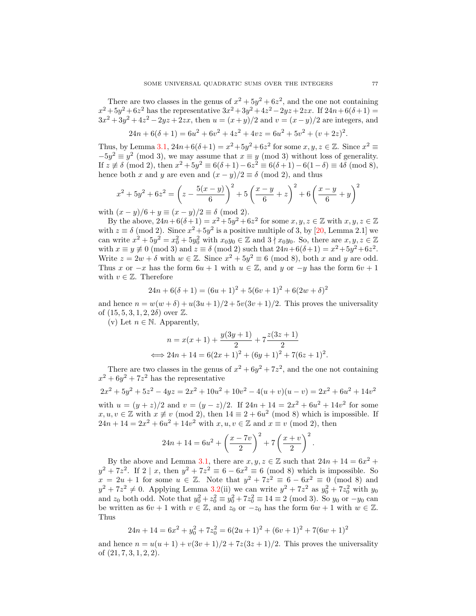There are two classes in the genus of  $x^2 + 5y^2 + 6z^2$ , and the one not containing  $x^2 + 5y^2 + 6z^2$  has the representative  $3x^2 + 3y^2 + 4z^2 - 2yz + 2zx$ . If  $24n + 6(\delta + 1) =$  $3x^2 + 3y^2 + 4z^2 - 2yz + 2zx$ , then  $u = (x+y)/2$  and  $v = (x-y)/2$  are integers, and

$$
24n + 6(\delta + 1) = 6u^2 + 6v^2 + 4z^2 + 4vz = 6u^2 + 5v^2 + (v + 2z)^2.
$$

Thus, by Lemma [3.1,](#page-6-0)  $24n+6(6+1) = x^2+5y^2+6z^2$  for some  $x, y, z \in \mathbb{Z}$ . Since  $x^2 \equiv$  $-5y^2 \equiv y^2 \pmod{3}$ , we may assume that  $x \equiv y \pmod{3}$  without loss of generality. If  $z \not\equiv \delta \pmod{2}$ , then  $x^2 + 5y^2 \equiv 6(\delta + 1) - 6z^2 \equiv 6(\delta + 1) - 6(1 - \delta) \equiv 4\delta \pmod{8}$ , hence both x and y are even and  $(x - y)/2 \equiv \delta \pmod{2}$ , and thus

$$
x^{2} + 5y^{2} + 6z^{2} = \left(z - \frac{5(x - y)}{6}\right)^{2} + 5\left(\frac{x - y}{6} + z\right)^{2} + 6\left(\frac{x - y}{6} + y\right)^{2}
$$

with  $(x - y)/6 + y \equiv (x - y)/2 \equiv \delta \pmod{2}$ .

By the above,  $24n+6(\delta+1) = x^2+5y^2+6z^2$  for some  $x, y, z \in \mathbb{Z}$  with  $x, y, z \in \mathbb{Z}$ with  $z \equiv \delta \pmod{2}$ . Since  $x^2 + 5y^2$  is a positive multiple of 3, by [\[20,](#page-18-1) Lemma 2.1] we can write  $x^2 + 5y^2 = x_0^2 + 5y_0^2$  with  $x_0y_0 \in \mathbb{Z}$  and  $3 \nmid x_0y_0$ . So, there are  $x, y, z \in \mathbb{Z}$ with  $x \equiv y \not\equiv 0 \pmod{3}$  and  $z \equiv \delta \pmod{2}$  such that  $24n + 6(\delta + 1) = x^2 + 5y^2 + 6z^2$ . Write  $z = 2w + \delta$  with  $w \in \mathbb{Z}$ . Since  $x^2 + 5y^2 \equiv 6 \pmod{8}$ , both x and y are odd. Thus x or  $-x$  has the form  $6u + 1$  with  $u \in \mathbb{Z}$ , and y or  $-y$  has the form  $6v + 1$ with  $v \in \mathbb{Z}$ . Therefore

$$
24n + 6(\delta + 1) = (6u + 1)^{2} + 5(6v + 1)^{2} + 6(2w + \delta)^{2}
$$

and hence  $n = w(w + \delta) + u(3u + 1)/2 + 5v(3v + 1)/2$ . This proves the universality of  $(15, 5, 3, 1, 2, 2\delta)$  over  $\mathbb{Z}$ .

(v) Let  $n \in \mathbb{N}$ . Apparently,

$$
n = x(x+1) + \frac{y(3y+1)}{2} + 7\frac{z(3z+1)}{2}
$$
  

$$
\iff 24n + 14 = 6(2x+1)^2 + (6y+1)^2 + 7(6z+1)^2.
$$

There are two classes in the genus of  $x^2 + 6y^2 + 7z^2$ , and the one not containing  $x^2 + 6y^2 + 7z^2$  has the representative

$$
2x^2 + 5y^2 + 5z^2 - 4yz = 2x^2 + 10u^2 + 10v^2 - 4(u+v)(u-v) = 2x^2 + 6u^2 + 14v^2
$$

with  $u = (y + z)/2$  and  $v = (y - z)/2$ . If  $24n + 14 = 2x^2 + 6u^2 + 14v^2$  for some  $x, u, v \in \mathbb{Z}$  with  $x \not\equiv v \pmod{2}$ , then  $14 \equiv 2 + 6u^2 \pmod{8}$  which is impossible. If  $24n + 14 = 2x^2 + 6u^2 + 14v^2$  with  $x, u, v \in \mathbb{Z}$  and  $x \equiv v \pmod{2}$ , then

$$
24n + 14 = 6u^{2} + \left(\frac{x - 7v}{2}\right)^{2} + 7\left(\frac{x + v}{2}\right)^{2}.
$$

By the above and Lemma [3.1,](#page-6-0) there are  $x, y, z \in \mathbb{Z}$  such that  $24n + 14 = 6x^2 +$  $y^2 + 7z^2$ . If  $2 \mid x$ , then  $y^2 + 7z^2 \equiv 6 - 6x^2 \equiv 6 \pmod{8}$  which is impossible. So  $x = 2u + 1$  for some  $u \in \mathbb{Z}$ . Note that  $y^2 + 7z^2 \equiv 6 - 6x^2 \equiv 0 \pmod{8}$  and  $y^2 + 7z^2 \neq 0$ . Applying Lemma [3.2\(](#page-6-1)ii) we can write  $y^2 + 7z^2$  as  $y_0^2 + 7z_0^2$  with  $y_0$ and  $z_0$  both odd. Note that  $y_0^2 + z_0^2 \equiv y_0^2 + 7z_0^2 \equiv 14 \equiv 2 \pmod{3}$ . So  $y_0$  or  $-y_0$  can be written as  $6v + 1$  with  $v \in \mathbb{Z}$ , and  $z_0$  or  $-z_0$  has the form  $6w + 1$  with  $w \in \mathbb{Z}$ . Thus

$$
24n + 14 = 6x2 + y02 + 7z02 = 6(2u + 1)2 + (6v + 1)2 + 7(6w + 1)2
$$

and hence  $n = u(u+1) + v(3v+1)/2 + 7z(3z+1)/2$ . This proves the universality of (21, 7, 3, 1, 2, 2).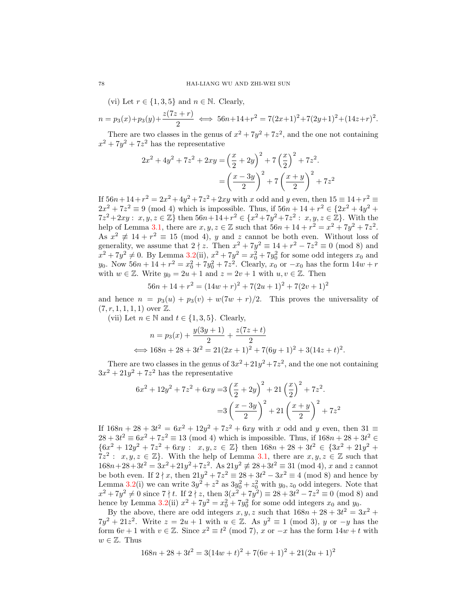(vi) Let  $r \in \{1, 3, 5\}$  and  $n \in \mathbb{N}$ . Clearly,

$$
n = p_3(x) + p_3(y) + \frac{z(7z+r)}{2} \iff 56n + 14 + r^2 = 7(2x+1)^2 + 7(2y+1)^2 + (14z+r)^2.
$$

There are two classes in the genus of  $x^2 + 7y^2 + 7z^2$ , and the one not containing  $x^2 + 7y^2 + 7z^2$  has the representative

$$
2x^{2} + 4y^{2} + 7z^{2} + 2xy = \left(\frac{x}{2} + 2y\right)^{2} + 7\left(\frac{x}{2}\right)^{2} + 7z^{2}.
$$

$$
= \left(\frac{x - 3y}{2}\right)^{2} + 7\left(\frac{x + y}{2}\right)^{2} + 7z^{2}
$$

If  $56n + 14 + r^2 = 2x^2 + 4y^2 + 7z^2 + 2xy$  with x odd and y even, then  $15 \equiv 14 + r^2 \equiv$  $2x^2 + 7z^2 \equiv 9 \pmod{4}$  which is impossible. Thus, if  $56n + 14 + r^2 \in \{2x^2 + 4y^2 +$  $7z^2 + 2xy : x, y, z \in \mathbb{Z} \}$  then  $56n + 14 + r^2 \in \{x^2 + 7y^2 + 7z^2 : x, y, z \in \mathbb{Z} \}$ . With the help of Lemma [3.1,](#page-6-0) there are  $x, y, z \in \mathbb{Z}$  such that  $56n + 14 + r^2 = x^2 + 7y^2 + 7z^2$ . As  $x^2 \not\equiv 14 + r^2 \equiv 15 \pmod{4}$ , y and z cannot be both even. Without loss of generality, we assume that  $2 \nmid z$ . Then  $x^2 + 7y^2 \equiv 14 + r^2 - 7z^2 \equiv 0 \pmod{8}$  and  $x^2 + 7y^2 \neq 0$ . By Lemma [3.2\(](#page-6-1)ii),  $x^2 + 7y^2 = x_0^2 + 7y_0^2$  for some odd integers  $x_0$  and y<sub>0</sub>. Now  $56n + 14 + r^2 = x_0^2 + 7y_0^2 + 7z^2$ . Clearly,  $x_0$  or  $-x_0$  has the form  $14w + r$ with  $w \in \mathbb{Z}$ . Write  $y_0 = 2u + 1$  and  $z = 2v + 1$  with  $u, v \in \mathbb{Z}$ . Then

$$
56n + 14 + r2 = (14w + r)2 + 7(2u + 1)2 + 7(2v + 1)2
$$

and hence  $n = p_3(u) + p_3(v) + w(7w + r)/2$ . This proves the universality of  $(7, r, 1, 1, 1, 1)$  over  $\mathbb{Z}$ .

(vii) Let  $n \in \mathbb{N}$  and  $t \in \{1, 3, 5\}$ . Clearly,

$$
n = p_3(x) + \frac{y(3y+1)}{2} + \frac{z(7z+t)}{2}
$$
  

$$
\iff 168n + 28 + 3t^2 = 21(2x+1)^2 + 7(6y+1)^2 + 3(14z+t)^2.
$$

There are two classes in the genus of  $3x^2 + 21y^2 + 7z^2$ , and the one not containing  $3x^2 + 21y^2 + 7z^2$  has the representative

$$
6x^{2} + 12y^{2} + 7z^{2} + 6xy = 3\left(\frac{x}{2} + 2y\right)^{2} + 21\left(\frac{x}{2}\right)^{2} + 7z^{2}.
$$

$$
= 3\left(\frac{x - 3y}{2}\right)^{2} + 21\left(\frac{x + y}{2}\right)^{2} + 7z^{2}
$$

If  $168n + 28 + 3t^2 = 6x^2 + 12y^2 + 7z^2 + 6xy$  with x odd and y even, then  $31 \equiv$  $28 + 3t^2 \equiv 6x^2 + 7z^2 \equiv 13 \pmod{4}$  which is impossible. Thus, if  $168n + 28 + 3t^2 \in$  ${6x^2 + 12y^2 + 7z^2 + 6xy : x, y, z \in \mathbb{Z}}$  then  $168n + 28 + 3t^2 \in {3x^2 + 21y^2 + 5z^2 + 12y^2 + 12z^2 + 12z^2 + 12z^2 + 12z^2 + 12z^2 + 12z^2 + 12z^2 + 12z^2 + 12z^2 + 12z^2 + 12z^2 + 12z^2 + 12z^2 + 12z^2 + 12z^2 + 12z^2 + 12z^2 + 12z^2 + 12z^2 +$  $7z^2: x, y, z \in \mathbb{Z}$ . With the help of Lemma [3.1,](#page-6-0) there are  $x, y, z \in \mathbb{Z}$  such that  $168n+28+3t^2 = 3x^2+21y^2+7z^2$ . As  $21y^2 \not\equiv 28+3t^2 \equiv 31 \pmod{4}$ , x and z cannot be both even. If  $2 \nmid x$ , then  $21y^2 + 7z^2 \equiv 28 + 3t^2 - 3x^2 \equiv 4 \pmod{8}$  and hence by Lemma [3.2\(](#page-6-1)i) we can write  $3y^2 + z^2$  as  $3y_0^2 + z_0^2$  with  $y_0, z_0$  odd integers. Note that  $x^2 + 7y^2 \neq 0$  since  $7 \nmid t$ . If  $2 \nmid z$ , then  $3(x^2 + 7y^2) \equiv 28 + 3t^2 - 7z^2 \equiv 0 \pmod{8}$  and hence by Lemma [3.2\(](#page-6-1)ii)  $x^2 + 7y^2 = x_0^2 + 7y_0^2$  for some odd integers  $x_0$  and  $y_0$ .

By the above, there are odd integers  $x, y, z$  such that  $168n + 28 + 3t^2 = 3x^2 +$  $7y^2 + 21z^2$ . Write  $z = 2u + 1$  with  $u \in \mathbb{Z}$ . As  $y^2 \equiv 1 \pmod{3}$ , y or  $-y$  has the form  $6v + 1$  with  $v \in \mathbb{Z}$ . Since  $x^2 \equiv t^2 \pmod{7}$ , x or  $-x$  has the form  $14w + t$  with  $w \in \mathbb{Z}$ . Thus

$$
168n + 28 + 3t2 = 3(14w + t)2 + 7(6v + 1)2 + 21(2u + 1)2
$$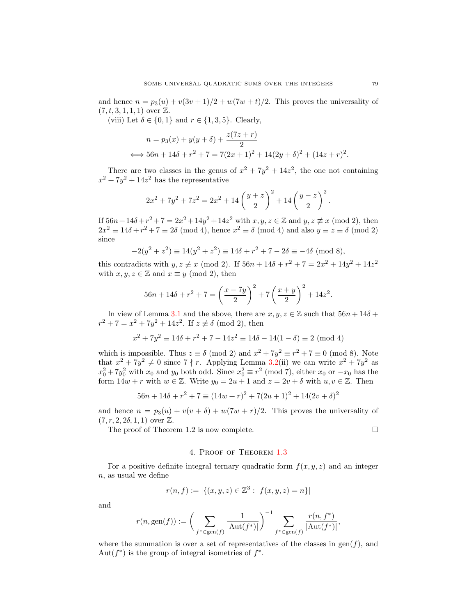and hence  $n = p_3(u) + v(3v + 1)/2 + w(7w + t)/2$ . This proves the universality of  $(7, t, 3, 1, 1, 1)$  over  $\mathbb{Z}$ .

(viii) Let  $\delta \in \{0,1\}$  and  $r \in \{1,3,5\}$ . Clearly,

$$
n = p_3(x) + y(y + \delta) + \frac{z(7z + r)}{2}
$$
  

$$
\iff 56n + 14\delta + r^2 + 7 = 7(2x + 1)^2 + 14(2y + \delta)^2 + (14z + r)^2.
$$

There are two classes in the genus of  $x^2 + 7y^2 + 14z^2$ , the one not containing  $x^2 + 7y^2 + 14z^2$  has the representative

$$
2x^{2} + 7y^{2} + 7z^{2} = 2x^{2} + 14\left(\frac{y+z}{2}\right)^{2} + 14\left(\frac{y-z}{2}\right)^{2}.
$$

If  $56n + 14\delta + r^2 + 7 = 2x^2 + 14y^2 + 14z^2$  with  $x, y, z \in \mathbb{Z}$  and  $y, z \not\equiv x \pmod{2}$ , then  $2x^2 \equiv 14\delta + r^2 + 7 \equiv 2\delta \pmod{4}$ , hence  $x^2 \equiv \delta \pmod{4}$  and also  $y \equiv z \equiv \delta \pmod{2}$ since

$$
-2(y^2 + z^2) \equiv 14(y^2 + z^2) \equiv 14\delta + r^2 + 7 - 2\delta \equiv -4\delta \pmod{8},
$$

this contradicts with  $y, z \neq x \pmod{2}$ . If  $56n + 14\delta + r^2 + 7 = 2x^2 + 14y^2 + 14z^2$ with  $x, y, z \in \mathbb{Z}$  and  $x \equiv y \pmod{2}$ , then

$$
56n + 14\delta + r^2 + 7 = \left(\frac{x - 7y}{2}\right)^2 + 7\left(\frac{x + y}{2}\right)^2 + 14z^2.
$$

In view of Lemma [3.1](#page-6-0) and the above, there are  $x, y, z \in \mathbb{Z}$  such that  $56n + 14\delta$  +  $r^2 + 7 = x^2 + 7y^2 + 14z^2$ . If  $z \not\equiv \delta \pmod{2}$ , then

$$
x^{2} + 7y^{2} \equiv 14\delta + r^{2} + 7 - 14z^{2} \equiv 14\delta - 14(1 - \delta) \equiv 2 \pmod{4}
$$

which is impossible. Thus  $z \equiv \delta \pmod{2}$  and  $x^2 + 7y^2 \equiv r^2 + 7 \equiv 0 \pmod{8}$ . Note that  $x^2 + 7y^2 \neq 0$  since  $7 \nmid r$ . Applying Lemma [3.2\(](#page-6-1)ii) we can write  $x^2 + 7y^2$  as  $x_0^2 + 7y_0^2$  with  $x_0$  and  $y_0$  both odd. Since  $x_0^2 \equiv r^2 \pmod{7}$ , either  $x_0$  or  $-x_0$  has the form  $14w + r$  with  $w \in \mathbb{Z}$ . Write  $y_0 = 2u + 1$  and  $z = 2v + \delta$  with  $u, v \in \mathbb{Z}$ . Then

$$
56n + 14\delta + r^2 + 7 \equiv (14w + r)^2 + 7(2u + 1)^2 + 14(2v + \delta)^2
$$

and hence  $n = p_3(u) + v(v + \delta) + w(7w + r)/2$ . This proves the universality of  $(7, r, 2, 2\delta, 1, 1)$  over  $\mathbb{Z}$ .

The proof of Theorem 1.2 is now complete.

#### 4. Proof of Theorem [1.3](#page-1-1)

For a positive definite integral ternary quadratic form  $f(x, y, z)$  and an integer n, as usual we define

$$
r(n,f):=|\{(x,y,z)\in\mathbb{Z}^3:\ f(x,y,z)=n\}|
$$

and

$$
r(n, \text{gen}(f)) := \bigg(\sum_{f^* \in \text{gen}(f)} \frac{1}{|\text{Aut}(f^*)|}\bigg)^{-1} \sum_{f^* \in \text{gen}(f)} \frac{r(n, f^*)}{|\text{Aut}(f^*)|},
$$

where the summation is over a set of representatives of the classes in  $gen(f)$ , and Aut $(f^*)$  is the group of integral isometries of  $f^*$ .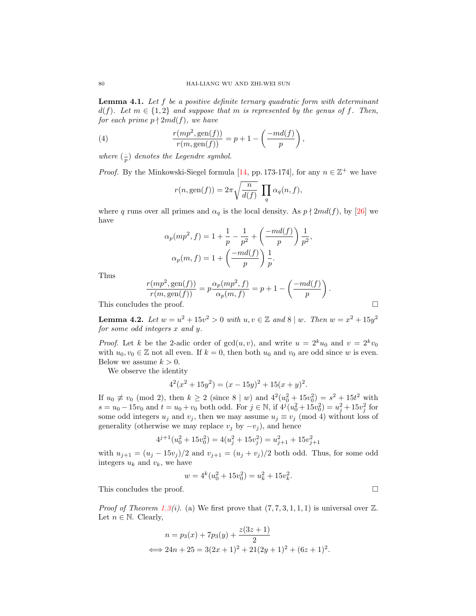<span id="page-11-0"></span>**Lemma 4.1.** Let  $f$  be a positive definite ternary quadratic form with determinant  $d(f)$ . Let  $m \in \{1,2\}$  and suppose that m is represented by the genus of f. Then, for each prime  $p \nmid 2md(f)$ , we have

(4) 
$$
\frac{r(mp^2,gen(f))}{r(m,gen(f))} = p + 1 - \left(\frac{-md(f)}{p}\right),
$$

where  $\left(\frac{1}{p}\right)$  denotes the Legendre symbol.

*Proof.* By the Minkowski-Siegel formula [\[14,](#page-18-11) pp. 173-174], for any  $n \in \mathbb{Z}^+$  we have

$$
r(n, \text{gen}(f)) = 2\pi \sqrt{\frac{n}{d(f)}} \prod_{q} \alpha_q(n, f),
$$

where q runs over all primes and  $\alpha_q$  is the local density. As  $p \nmid 2md(f)$ , by [\[26\]](#page-18-15) we have

$$
\alpha_p(mp^2, f) = 1 + \frac{1}{p} - \frac{1}{p^2} + \left(\frac{-md(f)}{p}\right) \frac{1}{p^2},
$$
  

$$
\alpha_p(m, f) = 1 + \left(\frac{-md(f)}{p}\right) \frac{1}{p}.
$$

Thus

$$
\frac{r(mp^2,gen(f))}{r(m,gen(f))} = p\frac{\alpha_p(mp^2, f)}{\alpha_p(m, f)} = p + 1 - \left(\frac{-md(f)}{p}\right).
$$

This concludes the proof.

<span id="page-11-1"></span>**Lemma 4.2.** Let  $w = u^2 + 15v^2 > 0$  with  $u, v \in \mathbb{Z}$  and  $8 | w$ . Then  $w = x^2 + 15y^2$ for some odd integers x and y.

*Proof.* Let k be the 2-adic order of  $gcd(u, v)$ , and write  $u = 2^k u_0$  and  $v = 2^k v_0$ with  $u_0, v_0 \in \mathbb{Z}$  not all even. If  $k = 0$ , then both  $u_0$  and  $v_0$  are odd since w is even. Below we assume  $k > 0$ .

We observe the identity

$$
42(x2 + 15y2) = (x - 15y)2 + 15(x + y)2.
$$

If  $u_0 \not\equiv v_0 \pmod{2}$ , then  $k \ge 2$  (since  $8 | w$ ) and  $4^2(u_0^2 + 15v_0^2) = s^2 + 15t^2$  with  $s = u_0 - 15v_0$  and  $t = u_0 + v_0$  both odd. For  $j \in \mathbb{N}$ , if  $4^{j}(u_0^2 + 15v_0^2) = u_j^2 + 15v_j^2$  for some odd integers  $u_j$  and  $v_j$ , then we may assume  $u_j \equiv v_j \pmod{4}$  without loss of generality (otherwise we may replace  $v_j$  by  $-v_j$ ), and hence

$$
4^{j+1}(u_0^2 + 15v_0^2) = 4(u_j^2 + 15v_j^2) = u_{j+1}^2 + 15v_{j+1}^2
$$

with  $u_{j+1} = (u_j - 15v_j)/2$  and  $v_{j+1} = (u_j + v_j)/2$  both odd. Thus, for some odd integers  $u_k$  and  $v_k$ , we have

$$
w = 4^k(u_0^2 + 15v_0^2) = u_k^2 + 15v_k^2.
$$

This concludes the proof.

*Proof of Theorem [1.3\(](#page-1-1)i).* (a) We first prove that  $(7, 7, 3, 1, 1, 1)$  is universal over  $\mathbb{Z}$ . Let  $n \in \mathbb{N}$ . Clearly,

$$
n = p_3(x) + 7p_3(y) + \frac{z(3z+1)}{2}
$$
  

$$
\iff 24n + 25 = 3(2x+1)^2 + 21(2y+1)^2 + (6z+1)^2.
$$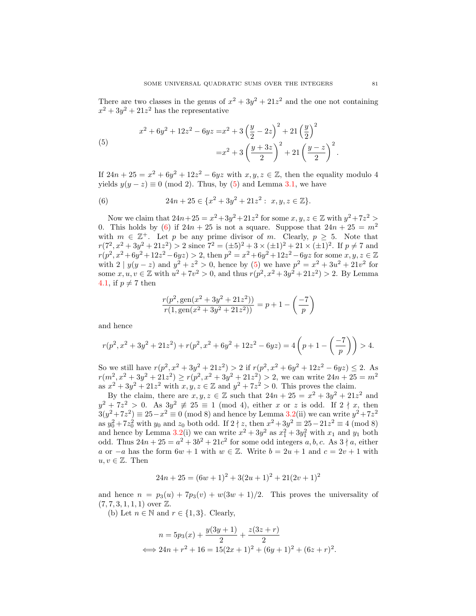There are two classes in the genus of  $x^2 + 3y^2 + 21z^2$  and the one not containing  $x^2 + 3y^2 + 21z^2$  has the representative

<span id="page-12-0"></span>(5)  

$$
x^{2} + 6y^{2} + 12z^{2} - 6yz = x^{2} + 3\left(\frac{y}{2} - 2z\right)^{2} + 21\left(\frac{y}{2}\right)^{2}
$$

$$
= x^{2} + 3\left(\frac{y + 3z}{2}\right)^{2} + 21\left(\frac{y - z}{2}\right)^{2}.
$$

If  $24n + 25 = x^2 + 6y^2 + 12z^2 - 6yz$  with  $x, y, z \in \mathbb{Z}$ , then the equality modulo 4 yields  $y(y - z) \equiv 0 \pmod{2}$ . Thus, by [\(5\)](#page-12-0) and Lemma [3.1,](#page-6-0) we have

<span id="page-12-1"></span>(6) 
$$
24n + 25 \in \{x^2 + 3y^2 + 21z^2 : x, y, z \in \mathbb{Z}\}.
$$

Now we claim that  $24n+25 = x^2+3y^2+21z^2$  for some  $x, y, z \in \mathbb{Z}$  with  $y^2+7z^2 >$ 0. This holds by [\(6\)](#page-12-1) if  $24n + 25$  is not a square. Suppose that  $24n + 25 = m^2$ with  $m \in \mathbb{Z}^+$ . Let p be any prime divisor of m. Clearly,  $p \geq 5$ . Note that  $r(7^2, x^2 + 3y^2 + 21z^2) > 2$  since  $7^2 = (\pm 5)^2 + 3 \times (\pm 1)^2 + 21 \times (\pm 1)^2$ . If  $p \neq 7$  and  $r(p^2, x^2+6y^2+12z^2-6yz) > 2$ , then  $p^2 = x^2+6y^2+12z^2-6yz$  for some  $x, y, z \in \mathbb{Z}$ with  $2 | y(y - z)$  and  $y^2 + z^2 > 0$ , hence by [\(5\)](#page-12-0) we have  $p^2 = x^2 + 3u^2 + 21v^2$  for some  $x, u, v \in \mathbb{Z}$  with  $u^2 + 7v^2 > 0$ , and thus  $r(p^2, x^2 + 3y^2 + 21z^2) > 2$ . By Lemma [4.1,](#page-11-0) if  $p \neq 7$  then

$$
\frac{r(p^2, \text{gen}(x^2 + 3y^2 + 21z^2))}{r(1, \text{gen}(x^2 + 3y^2 + 21z^2))} = p + 1 - \left(\frac{-7}{p}\right)
$$

and hence

$$
r(p^2, x^2 + 3y^2 + 21z^2) + r(p^2, x^2 + 6y^2 + 12z^2 - 6yz) = 4\left(p + 1 - \left(\frac{-7}{p}\right)\right) > 4.
$$

So we still have  $r(p^2, x^2 + 3y^2 + 21z^2) > 2$  if  $r(p^2, x^2 + 6y^2 + 12z^2 - 6yz) \le 2$ . As  $r(m^2, x^2 + 3y^2 + 21z^2) \ge r(p^2, x^2 + 3y^2 + 21z^2) > 2$ , we can write  $24n + 25 = m^2$ as  $x^2 + 3y^2 + 21z^2$  with  $x, y, z \in \mathbb{Z}$  and  $y^2 + 7z^2 > 0$ . This proves the claim.

By the claim, there are  $x, y, z \in \mathbb{Z}$  such that  $24n + 25 = x^2 + 3y^2 + 21z^2$  and  $y^2 + 7z^2 > 0$ . As  $3y^2 \not\equiv 25 \equiv 1 \pmod{4}$ , either x or z is odd. If  $2 \nmid x$ , then  $3(y^2 + 7z^2) \equiv 25 - x^2 \equiv 0 \pmod{8}$  and hence by Lemma [3.2\(](#page-6-1)ii) we can write  $y^2 + 7z^2$ as  $y_0^2 + 7z_0^2$  with  $y_0$  and  $z_0$  both odd. If  $2 \nmid z$ , then  $x^2 + 3y^2 \equiv 25 - 21z^2 \equiv 4 \pmod{8}$ and hence by Lemma [3.2\(](#page-6-1)i) we can write  $x^2 + 3y^2$  as  $x_1^2 + 3y_1^2$  with  $x_1$  and  $y_1$  both odd. Thus  $24n + 25 = a^2 + 3b^2 + 21c^2$  for some odd integers a, b, c. As  $3 \nmid a$ , either a or  $-a$  has the form  $6w + 1$  with  $w \in \mathbb{Z}$ . Write  $b = 2u + 1$  and  $c = 2v + 1$  with  $u, v \in \mathbb{Z}$ . Then

$$
24n + 25 = (6w + 1)^2 + 3(2u + 1)^2 + 21(2v + 1)^2
$$

and hence  $n = p_3(u) + 7p_3(v) + w(3w + 1)/2$ . This proves the universality of  $(7, 7, 3, 1, 1, 1)$  over  $\mathbb{Z}$ .

(b) Let  $n \in \mathbb{N}$  and  $r \in \{1,3\}$ . Clearly,

$$
n = 5p_3(x) + \frac{y(3y+1)}{2} + \frac{z(3z+r)}{2}
$$
  

$$
\iff 24n + r^2 + 16 = 15(2x+1)^2 + (6y+1)^2 + (6z+r)^2.
$$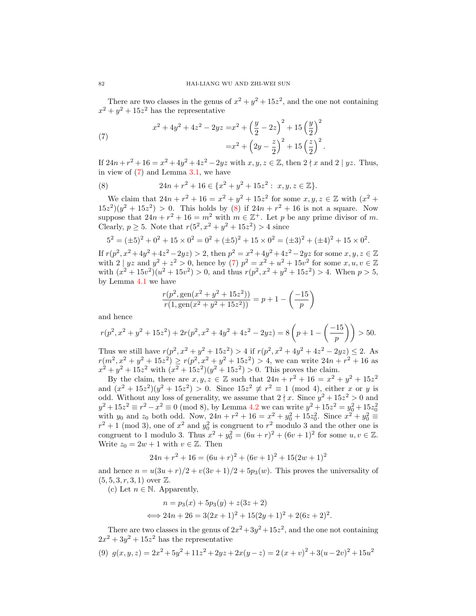There are two classes in the genus of  $x^2 + y^2 + 15z^2$ , and the one not containing  $x^2 + y^2 + 15z^2$  has the representative

<span id="page-13-0"></span>(7) 
$$
x^{2} + 4y^{2} + 4z^{2} - 2yz = x^{2} + \left(\frac{y}{2} - 2z\right)^{2} + 15\left(\frac{y}{2}\right)^{2}
$$

$$
= x^{2} + \left(2y - \frac{z}{2}\right)^{2} + 15\left(\frac{z}{2}\right)^{2}.
$$

If  $24n+r^2+16=x^2+4y^2+4z^2-2yz$  with  $x, y, z \in \mathbb{Z}$ , then  $2 \nmid x$  and  $2 \mid yz$ . Thus, in view of  $(7)$  and Lemma [3.1,](#page-6-0) we have

<span id="page-13-1"></span>(8) 
$$
24n + r^2 + 16 \in \{x^2 + y^2 + 15z^2 : x, y, z \in \mathbb{Z}\}.
$$

We claim that  $24n + r^2 + 16 = x^2 + y^2 + 15z^2$  for some  $x, y, z \in \mathbb{Z}$  with  $(x^2 +$  $(15z^2)(y^2 + 15z^2) > 0$ . This holds by [\(8\)](#page-13-1) if  $24n + r^2 + 16$  is not a square. Now suppose that  $24n + r^2 + 16 = m^2$  with  $m \in \mathbb{Z}^+$ . Let p be any prime divisor of m. Clearly,  $p \ge 5$ . Note that  $r(5^2, x^2 + y^2 + 15z^2) > 4$  since

$$
52 = (\pm 5)2 + 02 + 15 \times 02 = 02 + (\pm 5)2 + 15 \times 02 = (\pm 3)2 + (\pm 4)2 + 15 \times 02.
$$

If  $r(p^2, x^2+4y^2+4z^2-2yz) > 2$ , then  $p^2 = x^2+4y^2+4z^2-2yz$  for some  $x, y, z \in \mathbb{Z}$ with  $2 | yz$  and  $y^2 + z^2 > 0$ , hence by [\(7\)](#page-13-0)  $p^2 = x^2 + u^2 + 15v^2$  for some  $x, u, v \in \mathbb{Z}$ with  $(x^2 + 15v^2)(u^2 + 15v^2) > 0$ , and thus  $r(p^2, x^2 + y^2 + 15z^2) > 4$ . When  $p > 5$ , by Lemma [4.1](#page-11-0) we have

$$
\frac{r(p^2, \text{gen}(x^2 + y^2 + 15z^2))}{r(1, \text{gen}(x^2 + y^2 + 15z^2))} = p + 1 - \left(\frac{-15}{p}\right)
$$

and hence

$$
r(p^2, x^2 + y^2 + 15z^2) + 2r(p^2, x^2 + 4y^2 + 4z^2 - 2yz) = 8\left(p + 1 - \left(\frac{-15}{p}\right)\right) > 50.
$$

Thus we still have  $r(p^2, x^2 + y^2 + 15z^2) > 4$  if  $r(p^2, x^2 + 4y^2 + 4z^2 - 2yz) \le 2$ . As  $r(m^2, x^2 + y^2 + 15z^2) \ge r(p^2, x^2 + y^2 + 15z^2) > 4$ , we can write  $24n + r^2 + 16$  as  $x^2 + y^2 + 15z^2$  with  $(x^2 + 15z^2)(y^2 + 15z^2) > 0$ . This proves the claim.

By the claim, there are  $x, y, z \in \mathbb{Z}$  such that  $24n + r^2 + 16 = x^2 + y^2 + 15z^2$ and  $(x^2 + 15z^2)(y^2 + 15z^2) > 0$ . Since  $15z^2 \not\equiv r^2 \equiv 1 \pmod{4}$ , either x or y is odd. Without any loss of generality, we assume that  $2 \nmid x$ . Since  $y^2 + 15z^2 > 0$  and  $y^2 + 15z^2 \equiv r^2 - x^2 \equiv 0 \pmod{8}$ , by Lemma [4.2](#page-11-1) we can write  $y^2 + 15z^2 = y_0^2 + 15z_0^2$ <br>with  $y_0$  and  $z_0$  both odd. Now,  $24n + r^2 + 16 = x^2 + y_0^2 + 15z_0^2$ . Since  $x^2 + y_0^2 \equiv$  $r^2 + 1 \pmod{3}$ , one of  $x^2$  and  $y_0^2$  is congruent to  $r^2$  modulo 3 and the other one is congruent to 1 modulo 3. Thus  $x^2 + y_0^2 = (6u + r)^2 + (6v + 1)^2$  for some  $u, v \in \mathbb{Z}$ . Write  $z_0 = 2w + 1$  with  $v \in \mathbb{Z}$ . Then

$$
24n + r2 + 16 = (6u + r)2 + (6v + 1)2 + 15(2w + 1)2
$$

and hence  $n = u(3u + r)/2 + v(3v + 1)/2 + 5p<sub>3</sub>(w)$ . This proves the universality of  $(5, 5, 3, r, 3, 1)$  over  $\mathbb{Z}$ .

(c) Let  $n \in \mathbb{N}$ . Apparently,

$$
n = p_3(x) + 5p_3(y) + z(3z + 2)
$$
  

$$
\iff 24n + 26 = 3(2x + 1)^2 + 15(2y + 1)^2 + 2(6z + 2)^2
$$

.

There are two classes in the genus of  $2x^2 + 3y^2 + 15z^2$ , and the one not containing  $2x^2 + 3y^2 + 15z^2$  has the representative

<span id="page-13-2"></span>
$$
(9) \ \ g(x,y,z) = 2x^2 + 5y^2 + 11z^2 + 2yz + 2x(y-z) = 2(x+v)^2 + 3(u-2v)^2 + 15u^2
$$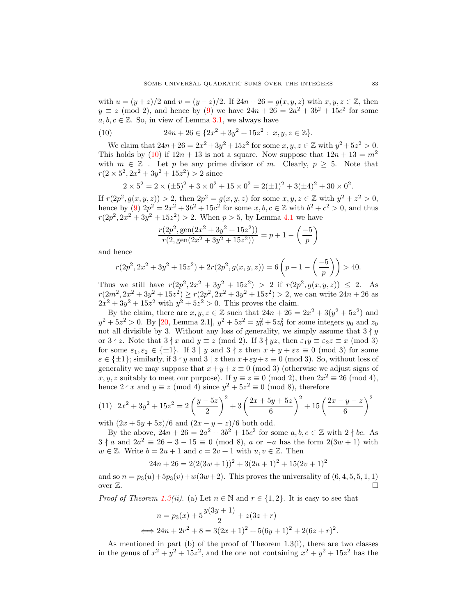with  $u = (y + z)/2$  and  $v = (y - z)/2$ . If  $24n + 26 = g(x, y, z)$  with  $x, y, z \in \mathbb{Z}$ , then  $y \equiv z \pmod{2}$ , and hence by [\(9\)](#page-13-2) we have  $24n + 26 = 2a^2 + 3b^2 + 15c^2$  for some  $a, b, c \in \mathbb{Z}$ . So, in view of Lemma [3.1,](#page-6-0) we always have

<span id="page-14-0"></span>(10) 
$$
24n + 26 \in \{2x^2 + 3y^2 + 15z^2 : x, y, z \in \mathbb{Z}\}.
$$

We claim that  $24n + 26 = 2x^2 + 3y^2 + 15z^2$  for some  $x, y, z \in \mathbb{Z}$  with  $y^2 + 5z^2 > 0$ . This holds by [\(10\)](#page-14-0) if  $12n + 13$  is not a square. Now suppose that  $12n + 13 = m^2$ with  $m \in \mathbb{Z}^+$ . Let p be any prime divisor of m. Clearly,  $p \geq 5$ . Note that  $r(2 \times 5^2, 2x^2 + 3y^2 + 15z^2) > 2$  since

$$
2 \times 5^2 = 2 \times (\pm 5)^2 + 3 \times 0^2 + 15 \times 0^2 = 2(\pm 1)^2 + 3(\pm 4)^2 + 30 \times 0^2.
$$

If  $r(2p^2, g(x, y, z)) > 2$ , then  $2p^2 = g(x, y, z)$  for some  $x, y, z \in \mathbb{Z}$  with  $y^2 + z^2 > 0$ , hence by [\(9\)](#page-13-2)  $2p^2 = 2x^2 + 3b^2 + 15c^2$  for some  $x, b, c \in \mathbb{Z}$  with  $b^2 + c^2 > 0$ , and thus  $r(2p^2, 2x^2 + 3y^2 + 15z^2) > 2$ . When  $p > 5$ , by Lemma [4.1](#page-11-0) we have

$$
\frac{r(2p^2, \text{gen}(2x^2 + 3y^2 + 15z^2))}{r(2, \text{gen}(2x^2 + 3y^2 + 15z^2))} = p + 1 - \left(\frac{-5}{p}\right)
$$

and hence

$$
r(2p^2, 2x^2 + 3y^2 + 15z^2) + 2r(2p^2, g(x, y, z)) = 6\left(p + 1 - \left(\frac{-5}{p}\right)\right) > 40.
$$

Thus we still have  $r(2p^2, 2x^2 + 3y^2 + 15z^2) > 2$  if  $r(2p^2, g(x, y, z)) \leq 2$ . As  $r(2m^2, 2x^2 + 3y^2 + 15z^2) \ge r(2p^2, 2x^2 + 3y^2 + 15z^2) > 2$ , we can write  $24n + 26$  as  $2x^2 + 3y^2 + 15z^2$  with  $y^2 + 5z^2 > 0$ . This proves the claim.

By the claim, there are  $x, y, z \in \mathbb{Z}$  such that  $24n + 26 = 2x^2 + 3(y^2 + 5z^2)$  and  $y^2 + 5z^2 > 0$ . By [\[20,](#page-18-1) Lemma 2.1],  $y^2 + 5z^2 = y_0^2 + 5z_0^2$  for some integers  $y_0$  and  $z_0$ not all divisible by 3. Without any loss of generality, we simply assume that  $3 \nmid y$ or  $3 \nmid z$ . Note that  $3 \nmid x$  and  $y \equiv z \pmod{2}$ . If  $3 \nmid yz$ , then  $\varepsilon_1 y \equiv \varepsilon_2 z \equiv x \pmod{3}$ for some  $\varepsilon_1, \varepsilon_2 \in \{\pm 1\}$ . If  $3 \mid y$  and  $3 \nmid z$  then  $x + y + \varepsilon z \equiv 0 \pmod{3}$  for some  $\varepsilon \in {\pm 1}$ ; similarly, if  $3 \nmid y$  and  $3 \nmid z$  then  $x + \varepsilon y + z \equiv 0 \pmod{3}$ . So, without loss of generality we may suppose that  $x+y+z \equiv 0 \pmod{3}$  (otherwise we adjust signs of x, y, z suitably to meet our purpose). If  $y \equiv z \equiv 0 \pmod{2}$ , then  $2x^2 \equiv 26 \pmod{4}$ , hence  $2 \nmid x$  and  $y \equiv z \pmod{4}$  since  $y^2 + 5z^2 \equiv 0 \pmod{8}$ , therefore

(11) 
$$
2x^2 + 3y^2 + 15z^2 = 2\left(\frac{y-5z}{2}\right)^2 + 3\left(\frac{2x+5y+5z}{6}\right)^2 + 15\left(\frac{2x-y-z}{6}\right)^2
$$

with  $(2x + 5y + 5z)/6$  and  $(2x - y - z)/6$  both odd.

By the above,  $24n + 26 = 2a^2 + 3b^2 + 15c^2$  for some  $a, b, c \in \mathbb{Z}$  with  $2 \nmid bc$ . As  $3 \nmid a$  and  $2a^2 \equiv 26 - 3 - 15 \equiv 0 \pmod{8}$ , a or  $-a$  has the form  $2(3w + 1)$  with  $w \in \mathbb{Z}$ . Write  $b = 2u + 1$  and  $c = 2v + 1$  with  $u, v \in \mathbb{Z}$ . Then

$$
24n + 26 = 2(2(3w + 1))^{2} + 3(2u + 1)^{2} + 15(2v + 1)^{2}
$$

and so  $n = p_3(u) + 5p_3(v) + w(3w+2)$ . This proves the universality of  $(6, 4, 5, 5, 1, 1)$ over  $\mathbb{Z}$ .

*Proof of Theorem [1.3\(](#page-1-1)ii).* (a) Let  $n \in \mathbb{N}$  and  $r \in \{1,2\}$ . It is easy to see that

$$
n = p_3(x) + 5\frac{y(3y+1)}{2} + z(3z+r)
$$
  

$$
\iff 24n + 2r^2 + 8 = 3(2x+1)^2 + 5(6y+1)^2 + 2(6z+r)^2.
$$

As mentioned in part (b) of the proof of Theorem 1.3(i), there are two classes in the genus of  $x^2 + y^2 + 15z^2$ , and the one not containing  $x^2 + y^2 + 15z^2$  has the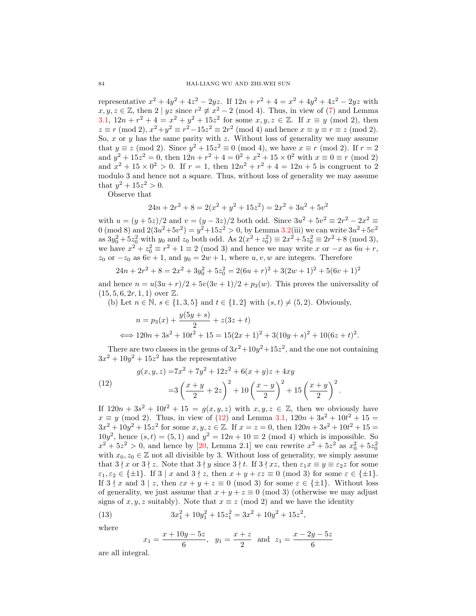representative  $x^2 + 4y^2 + 4z^2 - 2yz$ . If  $12n + r^2 + 4 = x^2 + 4y^2 + 4z^2 - 2yz$  with  $x, y, z \in \mathbb{Z}$ , then  $2 \mid yz \text{ since } r^2 \not\equiv x^2 - 2 \pmod{4}$ . Thus, in view of [\(7\)](#page-13-0) and Lemma [3.1,](#page-6-0)  $12n + r^2 + 4 = x^2 + y^2 + 15z^2$  for some  $x, y, z \in \mathbb{Z}$ . If  $x \equiv y \pmod{2}$ , then  $z \equiv r \pmod{2}$ ,  $x^2 + y^2 \equiv r^2 - 15z^2 \equiv 2r^2 \pmod{4}$  and hence  $x \equiv y \equiv r \equiv z \pmod{2}$ . So,  $x$  or  $y$  has the same parity with  $z$ . Without loss of generality we may assume that  $y \equiv z \pmod{2}$ . Since  $y^2 + 15z^2 \equiv 0 \pmod{4}$ , we have  $x \equiv r \pmod{2}$ . If  $r = 2$ and  $y^2 + 15z^2 = 0$ , then  $12n + r^2 + 4 = 0^2 + x^2 + 15 \times 0^2$  with  $x \equiv 0 \equiv r \pmod{2}$ and  $x^2 + 15 \times 0^2 > 0$ . If  $r = 1$ , then  $12n^2 + r^2 + 4 = 12n + 5$  is congruent to 2 modulo 3 and hence not a square. Thus, without loss of generality we may assume that  $y^2 + 15z^2 > 0$ .

Observe that

$$
24n + 2r^2 + 8 = 2(x^2 + y^2 + 15z^2) = 2x^2 + 3u^2 + 5v^2
$$

with  $u = (y + 5z)/2$  and  $v = (y - 3z)/2$  both odd. Since  $3u^2 + 5v^2 \equiv 2r^2 - 2x^2 \equiv$ 0 (mod 8) and  $2(3u^2+5v^2) = y^2+15z^2 > 0$ , by Lemma [3.2\(](#page-6-1)iii) we can write  $3u^2+5v^2$ as  $3y_0^2 + 5z_0^2$  with  $y_0$  and  $z_0$  both odd. As  $2(x^2 + z_0^2) \equiv 2x^2 + 5z_0^2 \equiv 2r^2 + 8 \pmod{3}$ , we have  $x^2 + z_0^2 \equiv r^2 + 1 \equiv 2 \pmod{3}$  and hence we may write x or  $-x$  as  $6u + r$ ,  $z_0$  or  $-z_0$  as  $6v + 1$ , and  $y_0 = 2w + 1$ , where  $u, v, w$  are integers. Therefore

$$
24n + 2r^{2} + 8 = 2x^{2} + 3y_{0}^{2} + 5z_{0}^{2} = 2(6u + r)^{2} + 3(2w + 1)^{2} + 5(6v + 1)^{2}
$$

and hence  $n = u(3u + r)/2 + 5v(3v + 1)/2 + p_3(w)$ . This proves the universality of  $(15, 5, 6, 2r, 1, 1)$  over  $\mathbb{Z}$ .

(b) Let  $n \in \mathbb{N}$ ,  $s \in \{1, 3, 5\}$  and  $t \in \{1, 2\}$  with  $(s, t) \neq (5, 2)$ . Obviously,

$$
n = p_3(x) + \frac{y(5y + s)}{2} + z(3z + t)
$$
  

$$
\iff 120n + 3s^2 + 10t^2 + 15 = 15(2x + 1)^2 + 3(10y + s)^2 + 10(6z + t)^2.
$$

There are two classes in the genus of  $3x^2+10y^2+15z^2$ , and the one not containing  $3x^2 + 10y^2 + 15z^2$  has the representative

<span id="page-15-0"></span>(12) 
$$
g(x, y, z) = 7x^2 + 7y^2 + 12z^2 + 6(x + y)z + 4xy
$$

$$
= 3\left(\frac{x + y}{2} + 2z\right)^2 + 10\left(\frac{x - y}{2}\right)^2 + 15\left(\frac{x + y}{2}\right)^2.
$$

If  $120n + 3s^2 + 10t^2 + 15 = g(x, y, z)$  with  $x, y, z \in \mathbb{Z}$ , then we obviously have  $x \equiv y \pmod{2}$ . Thus, in view of [\(12\)](#page-15-0) and Lemma [3.1,](#page-6-0)  $120n + 3s^2 + 10t^2 + 15 =$  $3x^2 + 10y^2 + 15z^2$  for some  $x, y, z \in \mathbb{Z}$ . If  $x = z = 0$ , then  $120n + 3s^2 + 10t^2 + 15 =$  $10y^2$ , hence  $(s, t) = (5, 1)$  and  $y^2 = 12n + 10 \equiv 2 \pmod{4}$  which is impossible. So  $x^2 + 5z^2 > 0$ , and hence by [\[20,](#page-18-1) Lemma 2.1] we can rewrite  $x^2 + 5z^2$  as  $x_0^2 + 5z_0^2$ with  $x_0, z_0 \in \mathbb{Z}$  not all divisible by 3. Without loss of generality, we simply assume that  $3 \nmid x$  or  $3 \nmid z$ . Note that  $3 \nmid y$  since  $3 \nmid t$ . If  $3 \nmid xz$ , then  $\varepsilon_1 x \equiv y \equiv \varepsilon_2 z$  for some  $\varepsilon_1, \varepsilon_2 \in {\pm 1}$ . If  $3 \mid x$  and  $3 \nmid z$ , then  $x + y + \varepsilon z \equiv 0 \pmod{3}$  for some  $\varepsilon \in {\pm 1}$ . If  $3 \nmid x$  and  $3 \nmid z$ , then  $\varepsilon x + y + z \equiv 0 \pmod{3}$  for some  $\varepsilon \in \{\pm 1\}$ . Without loss of generality, we just assume that  $x + y + z \equiv 0 \pmod{3}$  (otherwise we may adjust signs of x, y, z suitably). Note that  $x \equiv z \pmod{2}$  and we have the identity

(13) 
$$
3x_1^2 + 10y_1^2 + 15z_1^2 = 3x^2 + 10y^2 + 15z^2,
$$

where

$$
x_1 = \frac{x + 10y - 5z}{6}
$$
,  $y_1 = \frac{x + z}{2}$  and  $z_1 = \frac{x - 2y - 5z}{6}$ 

are all integral.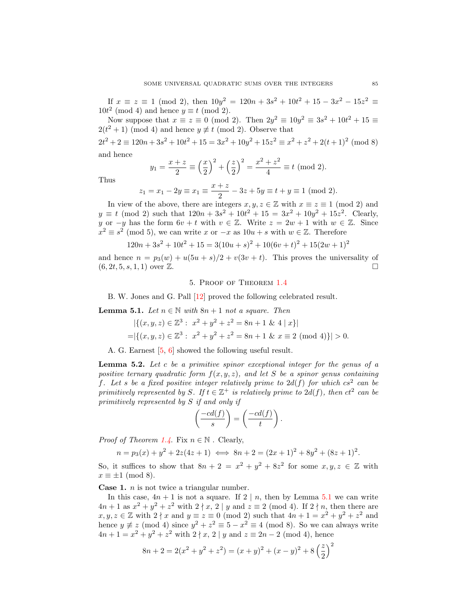If  $x \equiv z \equiv 1 \pmod{2}$ , then  $10y^2 = 120n + 3s^2 + 10t^2 + 15 - 3x^2 - 15z^2 \equiv$  $10t^2 \pmod{4}$  and hence  $y \equiv t \pmod{2}$ .

Now suppose that  $x \equiv z \equiv 0 \pmod{2}$ . Then  $2y^2 \equiv 10y^2 \equiv 3s^2 + 10t^2 + 15 \equiv$  $2(t^2+1) \pmod{4}$  and hence  $y \not\equiv t \pmod{2}$ . Observe that

 $2t^2 + 2 \equiv 120n + 3s^2 + 10t^2 + 15 = 3x^2 + 10y^2 + 15z^2 \equiv x^2 + z^2 + 2(t+1)^2 \pmod{8}$ and hence

> $y_1 = \frac{x+z}{2}$  $\frac{+z}{2} \equiv \left(\frac{x}{2}\right)$ 2  $\Big)^2 + \Big(\frac{z}{2}\Big)$ 2  $\bigg)^2 = \frac{x^2 + z^2}{4}$  $\frac{1}{4}$  = t (mod 2).

Thus

$$
z_1 = x_1 - 2y \equiv x_1 \equiv \frac{x+z}{2} - 3z + 5y \equiv t + y \equiv 1 \pmod{2}.
$$

In view of the above, there are integers  $x, y, z \in \mathbb{Z}$  with  $x \equiv z \equiv 1 \pmod{2}$  and  $y \equiv t \pmod{2}$  such that  $120n + 3s^2 + 10t^2 + 15 = 3x^2 + 10y^2 + 15z^2$ . Clearly, y or  $-y$  has the form  $6v + t$  with  $v \in \mathbb{Z}$ . Write  $z = 2w + 1$  with  $w \in \mathbb{Z}$ . Since  $x^2 \equiv s^2 \pmod{5}$ , we can write x or  $-x$  as  $10u + s$  with  $w \in \mathbb{Z}$ . Therefore

$$
120n + 3s2 + 10t2 + 15 = 3(10u + s)2 + 10(6v + t)2 + 15(2w + 1)2
$$

and hence  $n = p_3(w) + u(5u + s)/2 + v(3v + t)$ . This proves the universality of  $(6, 2t, 5, s, 1, 1)$  over  $\mathbb{Z}$ .

### 5. Proof of Theorem [1.4](#page-2-2)

B. W. Jones and G. Pall [\[12\]](#page-18-16) proved the following celebrated result.

<span id="page-16-0"></span>**Lemma 5.1.** Let  $n \in \mathbb{N}$  with  $8n + 1$  not a square. Then

$$
|\{(x, y, z) \in \mathbb{Z}^3 : x^2 + y^2 + z^2 = 8n + 1 \& 4 | x \}|
$$
  
=|\{(x, y, z) \in \mathbb{Z}^3 : x^2 + y^2 + z^2 = 8n + 1 \& x \equiv 2 \pmod{4}\}| > 0.

A. G. Earnest [\[5,](#page-18-17) [6\]](#page-18-18) showed the following useful result.

<span id="page-16-1"></span>Lemma 5.2. Let c be a primitive spinor exceptional integer for the genus of a positive ternary quadratic form  $f(x, y, z)$ , and let S be a spinor genus containing f. Let s be a fixed positive integer relatively prime to  $2d(f)$  for which  $cs^2$  can be primitively represented by S. If  $t \in \mathbb{Z}^+$  is relatively prime to  $2d(f)$ , then  $ct^2$  can be primitively represented by S if and only if

$$
\left(\frac{-cd(f)}{s}\right) = \left(\frac{-cd(f)}{t}\right).
$$

*Proof of Theorem [1.4](#page-2-2).* Fix  $n \in \mathbb{N}$ . Clearly,

$$
n = p_3(x) + y^2 + 2z(4z + 1) \iff 8n + 2 = (2x + 1)^2 + 8y^2 + (8z + 1)^2.
$$

So, it suffices to show that  $8n + 2 = x^2 + y^2 + 8z^2$  for some  $x, y, z \in \mathbb{Z}$  with  $x \equiv \pm 1 \pmod{8}$ .

**Case 1.**  $n$  is not twice a triangular number.

In this case,  $4n + 1$  is not a square. If  $2 \mid n$ , then by Lemma [5.1](#page-16-0) we can write  $4n+1$  as  $x^2+y^2+z^2$  with  $2\nmid x, 2 \mid y$  and  $z \equiv 2 \pmod{4}$ . If  $2\nmid n$ , then there are  $x, y, z \in \mathbb{Z}$  with  $2 \nmid x$  and  $y \equiv z \equiv 0 \pmod{2}$  such that  $4n + 1 = x^2 + y^2 + z^2$  and hence  $y \not\equiv z \pmod{4}$  since  $y^2 + z^2 \equiv 5 - x^2 \equiv 4 \pmod{8}$ . So we can always write  $4n + 1 = x^2 + y^2 + z^2$  with  $2 \nmid x, 2 \mid y$  and  $z \equiv 2n - 2 \pmod{4}$ , hence

$$
8n + 2 = 2(x^{2} + y^{2} + z^{2}) = (x + y)^{2} + (x - y)^{2} + 8\left(\frac{z}{2}\right)^{2}
$$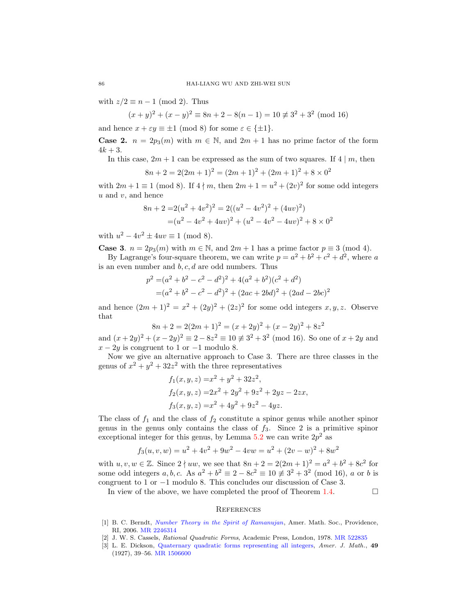with  $z/2 \equiv n - 1 \pmod{2}$ . Thus

$$
(x+y)^2 + (x-y)^2 \equiv 8n + 2 - 8(n-1) = 10 \not\equiv 3^2 + 3^2 \pmod{16}
$$

and hence  $x + \varepsilon y \equiv \pm 1 \pmod{8}$  for some  $\varepsilon \in {\pm 1}$ .

**Case 2.**  $n = 2p_3(m)$  with  $m \in \mathbb{N}$ , and  $2m + 1$  has no prime factor of the form  $4k + 3$ .

In this case,  $2m + 1$  can be expressed as the sum of two squares. If 4 | m, then

$$
8n + 2 = 2(2m + 1)^{2} = (2m + 1)^{2} + (2m + 1)^{2} + 8 \times 0^{2}
$$

with  $2m + 1 \equiv 1 \pmod{8}$ . If  $4 \nmid m$ , then  $2m + 1 = u^2 + (2v)^2$  for some odd integers  $u$  and  $v$ , and hence

$$
8n + 2 = 2(u2 + 4v2)2 = 2((u2 - 4v2)2 + (4uv)2)
$$
  
= (u<sup>2</sup> - 4v<sup>2</sup> + 4uv)<sup>2</sup> + (u<sup>2</sup> - 4v<sup>2</sup> - 4uv)<sup>2</sup> + 8 × 0<sup>2</sup>

with  $u^2 - 4v^2 \pm 4uv \equiv 1 \pmod{8}$ .

**Case 3.** 
$$
n = 2p_3(m)
$$
 with  $m \in \mathbb{N}$ , and  $2m + 1$  has a prime factor  $p \equiv 3 \pmod{4}$ .  
By Lagrange's four-square theorem, we can write  $p = a^2 + b^2 + c^2 + d^2$ , where a

is an even number and  $b, c, d$  are odd numbers. Thus

$$
p^{2} = (a^{2} + b^{2} - c^{2} - d^{2})^{2} + 4(a^{2} + b^{2})(c^{2} + d^{2})
$$
  
=  $(a^{2} + b^{2} - c^{2} - d^{2})^{2} + (2ac + 2bd)^{2} + (2ad - 2bc)^{2}$ 

and hence  $(2m+1)^2 = x^2 + (2y)^2 + (2z)^2$  for some odd integers  $x, y, z$ . Observe that

$$
8n + 2 = 2(2m + 1)^{2} = (x + 2y)^{2} + (x - 2y)^{2} + 8z^{2}
$$

and  $(x+2y)^2 + (x-2y)^2 \equiv 2 - 8z^2 \equiv 10 \not\equiv 3^2 + 3^2 \pmod{16}$ . So one of  $x + 2y$  and  $x - 2y$  is congruent to 1 or  $-1$  modulo 8.

Now we give an alternative approach to Case 3. There are three classes in the genus of  $x^2 + y^2 + 32z^2$  with the three representatives

$$
f_1(x, y, z) = x^2 + y^2 + 32z^2,
$$
  
\n
$$
f_2(x, y, z) = 2x^2 + 2y^2 + 9z^2 + 2yz - 2zx,
$$
  
\n
$$
f_3(x, y, z) = x^2 + 4y^2 + 9z^2 - 4yz.
$$

The class of  $f_1$  and the class of  $f_2$  constitute a spinor genus while another spinor genus in the genus only contains the class of  $f_3$ . Since 2 is a primitive spinor exceptional integer for this genus, by Lemma [5.2](#page-16-1) we can write  $2p^2$  as

$$
f_3(u, v, w) = u^2 + 4v^2 + 9w^2 - 4vw = u^2 + (2v - w)^2 + 8w^2
$$

with  $u, v, w \in \mathbb{Z}$ . Since  $2 \nmid uw$ , we see that  $8n + 2 = 2(2m + 1)^2 = a^2 + b^2 + 8c^2$  for some odd integers  $a, b, c$ . As  $a^2 + b^2 \equiv 2 - 8c^2 \equiv 10 \not\equiv 3^2 + 3^2 \pmod{16}$ , a or b is congruent to 1 or −1 modulo 8. This concludes our discussion of Case 3.

In view of the above, we have completed the proof of Theorem [1.4.](#page-2-2)  $\Box$ 

# **REFERENCES**

- <span id="page-17-0"></span>[1] B. C. Berndt, [Number Theory in the Spirit of Ramanujan](http://dx.doi.org/10.1090/stml/034), Amer. Math. Soc., Providence, RI, 2006. [MR 2246314](http://www.ams.org/mathscinet-getitem?mr=2246314&return=pdf)
- <span id="page-17-1"></span>[2] J. W. S. Cassels, Rational Quadratic Forms, Academic Press, London, 1978. [MR 522835](http://www.ams.org/mathscinet-getitem?mr=522835&return=pdf)
- [3] L. E. Dickson, [Quaternary quadratic forms representing all integers,](http://dx.doi.org/10.2307/2370770) Amer. J. Math., 49 (1927), 39–56. [MR 1506600](http://www.ams.org/mathscinet-getitem?mr=1506600&return=pdf)